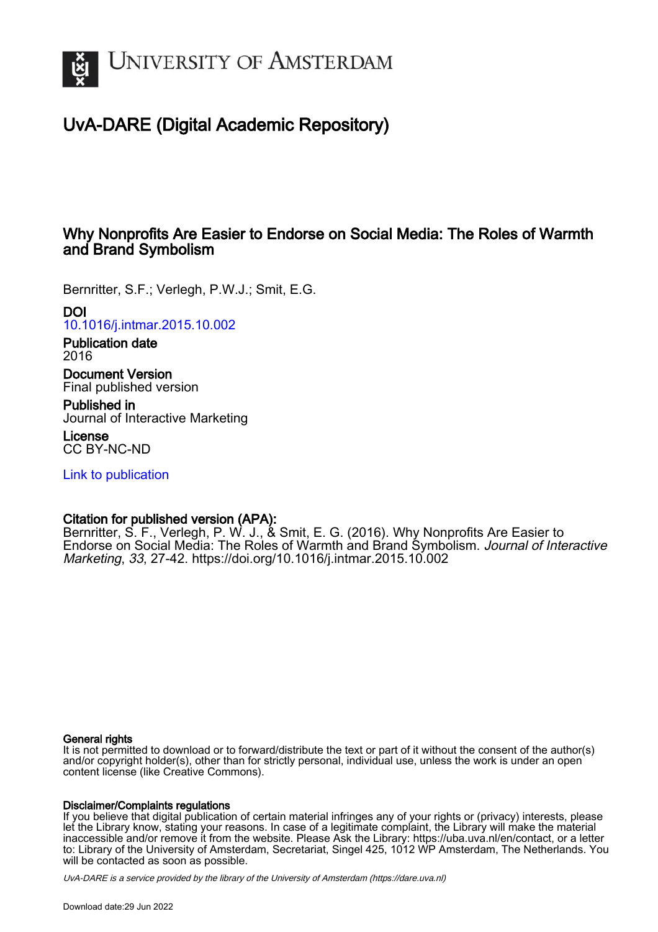

# UvA-DARE (Digital Academic Repository)

# Why Nonprofits Are Easier to Endorse on Social Media: The Roles of Warmth and Brand Symbolism

Bernritter, S.F.; Verlegh, P.W.J.; Smit, E.G.

DOI

[10.1016/j.intmar.2015.10.002](https://doi.org/10.1016/j.intmar.2015.10.002)

Publication date 2016

Document Version Final published version

Published in Journal of Interactive Marketing

License CC BY-NC-ND

[Link to publication](https://dare.uva.nl/personal/pure/en/publications/why-nonprofits-are-easier-to-endorse-on-social-media-the-roles-of-warmth-and-brand-symbolism(96da7a8e-7431-4059-a868-f10d502cc345).html)

# Citation for published version (APA):

Bernritter, S. F., Verlegh, P. W. J., & Smit, E. G. (2016). Why Nonprofits Are Easier to Endorse on Social Media: The Roles of Warmth and Brand Symbolism. Journal of Interactive Marketing, 33, 27-42. <https://doi.org/10.1016/j.intmar.2015.10.002>

# General rights

It is not permitted to download or to forward/distribute the text or part of it without the consent of the author(s) and/or copyright holder(s), other than for strictly personal, individual use, unless the work is under an open content license (like Creative Commons).

# Disclaimer/Complaints regulations

If you believe that digital publication of certain material infringes any of your rights or (privacy) interests, please let the Library know, stating your reasons. In case of a legitimate complaint, the Library will make the material inaccessible and/or remove it from the website. Please Ask the Library: https://uba.uva.nl/en/contact, or a letter to: Library of the University of Amsterdam, Secretariat, Singel 425, 1012 WP Amsterdam, The Netherlands. You will be contacted as soon as possible.

UvA-DARE is a service provided by the library of the University of Amsterdam (http*s*://dare.uva.nl)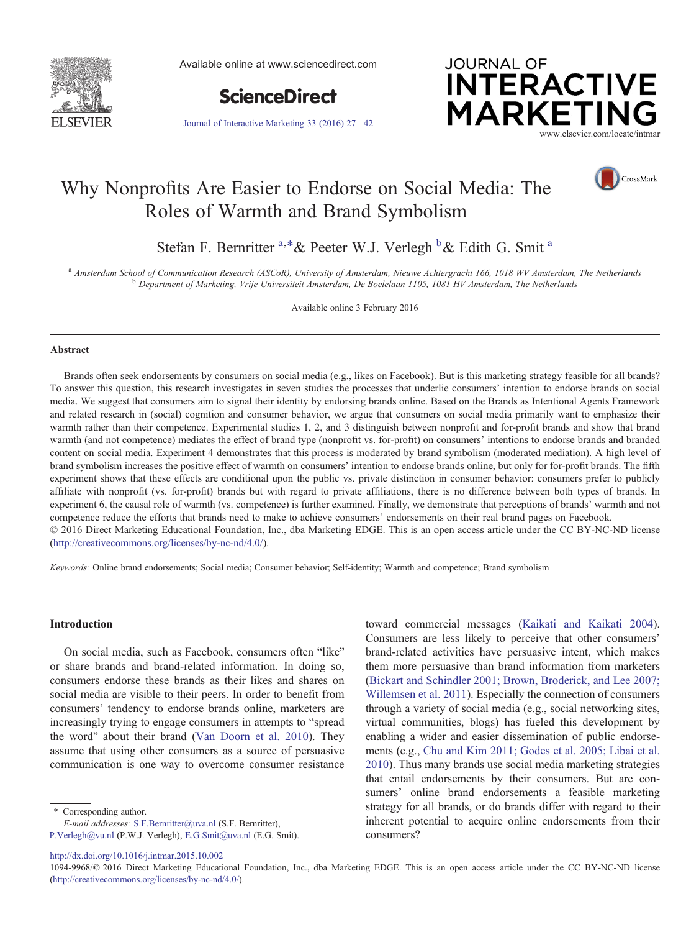<span id="page-1-0"></span>

Available online at www.sciencedirect.com



[Journal of Interactive Marketing 33 \(2016\) 27](http://dx.doi.org/10.1016/j.intmar.2015.10.002)–42



# Why Nonprofits Are Easier to Endorse on Social Media: The Roles of Warmth and Brand Symbolism



# Stefan F. Bernritter <sup>a,\*</sup> & Peeter W.J. Verlegh <sup>b</sup> & Edith G. Smit <sup>a</sup>

<sup>a</sup> Amsterdam School of Communication Research (ASCoR), University of Amsterdam, Nieuwe Achtergracht 166, 1018 WV Amsterdam, The Netherlands<br><sup>b</sup> Department of Marketing, Vrije Universiteit Amsterdam, De Boelelaan 1105, 108

Available online 3 February 2016

#### Abstract

Brands often seek endorsements by consumers on social media (e.g., likes on Facebook). But is this marketing strategy feasible for all brands? To answer this question, this research investigates in seven studies the processes that underlie consumers' intention to endorse brands on social media. We suggest that consumers aim to signal their identity by endorsing brands online. Based on the Brands as Intentional Agents Framework and related research in (social) cognition and consumer behavior, we argue that consumers on social media primarily want to emphasize their warmth rather than their competence. Experimental studies 1, 2, and 3 distinguish between nonprofit and for-profit brands and show that brand warmth (and not competence) mediates the effect of brand type (nonprofit vs. for-profit) on consumers' intentions to endorse brands and branded content on social media. Experiment 4 demonstrates that this process is moderated by brand symbolism (moderated mediation). A high level of brand symbolism increases the positive effect of warmth on consumers' intention to endorse brands online, but only for for-profit brands. The fifth experiment shows that these effects are conditional upon the public vs. private distinction in consumer behavior: consumers prefer to publicly affiliate with nonprofit (vs. for-profit) brands but with regard to private affiliations, there is no difference between both types of brands. In experiment 6, the causal role of warmth (vs. competence) is further examined. Finally, we demonstrate that perceptions of brands' warmth and not competence reduce the efforts that brands need to make to achieve consumers' endorsements on their real brand pages on Facebook. © 2016 Direct Marketing Educational Foundation, Inc., dba Marketing EDGE. This is an open access article under the CC BY-NC-ND license [\(http://creativecommons.org/licenses/by-nc-nd/4.0/](http://creativecommons.org/licenses/by-nc-nd/4.0/)).

Keywords: Online brand endorsements; Social media; Consumer behavior; Self-identity; Warmth and competence; Brand symbolism

# Introduction

On social media, such as Facebook, consumers often "like" or share brands and brand-related information. In doing so, consumers endorse these brands as their likes and shares on social media are visible to their peers. In order to benefit from consumers' tendency to endorse brands online, marketers are increasingly trying to engage consumers in attempts to "spread the word" about their brand ([Van Doorn et al. 2010](#page-16-0)). They assume that using other consumers as a source of persuasive communication is one way to overcome consumer resistance

⁎ Corresponding author.

E-mail addresses: [S.F.Bernritter@uva.nl](mailto:S.F.Bernritter@uva.nl) (S.F. Bernritter), [P.Verlegh@vu.nl](mailto:P.Verlegh@vu.nl) (P.W.J. Verlegh), [E.G.Smit@uva.nl](mailto:E.G.Smit@uva.nl) (E.G. Smit). toward commercial messages [\(Kaikati and Kaikati 2004\)](#page-15-0). Consumers are less likely to perceive that other consumers' brand-related activities have persuasive intent, which makes them more persuasive than brand information from marketers ([Bickart and Schindler 2001; Brown, Broderick, and Lee 2007;](#page-14-0) [Willemsen et al. 2011\)](#page-14-0). Especially the connection of consumers through a variety of social media (e.g., social networking sites, virtual communities, blogs) has fueled this development by enabling a wider and easier dissemination of public endorsements (e.g., [Chu and Kim 2011; Godes et al. 2005; Libai et al.](#page-14-0) [2010](#page-14-0)). Thus many brands use social media marketing strategies that entail endorsements by their consumers. But are consumers' online brand endorsements a feasible marketing strategy for all brands, or do brands differ with regard to their inherent potential to acquire online endorsements from their consumers?

<http://dx.doi.org/10.1016/j.intmar.2015.10.002>

<sup>1094-9968/© 2016</sup> Direct Marketing Educational Foundation, Inc., dba Marketing EDGE. This is an open access article under the CC BY-NC-ND license [\(http://creativecommons.org/licenses/by-nc-nd/4.0/\)](http://creativecommons.org/licenses/by-nc-nd/4.0/).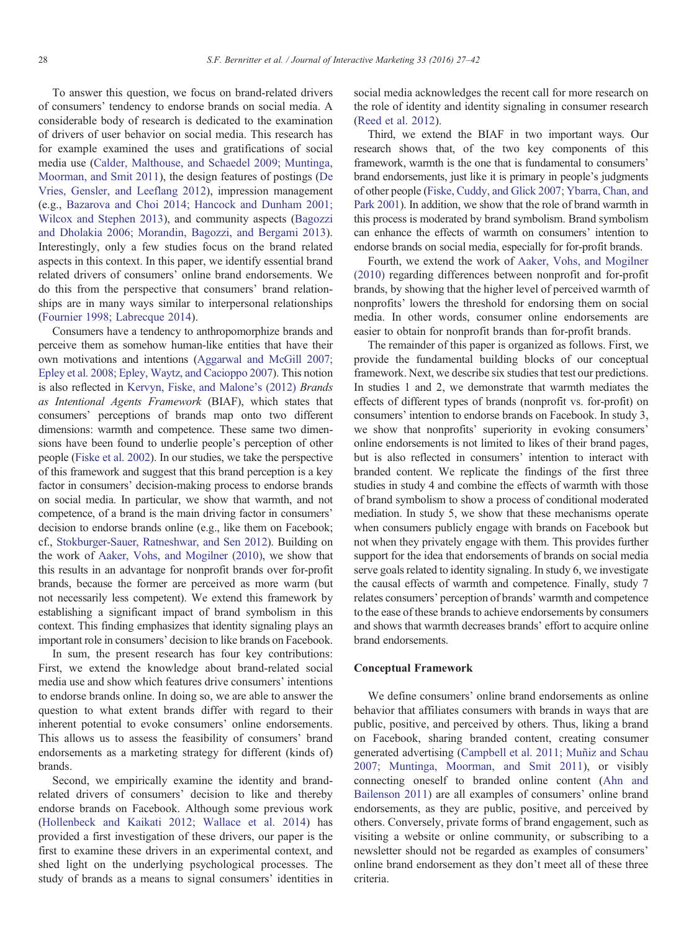To answer this question, we focus on brand-related drivers of consumers' tendency to endorse brands on social media. A considerable body of research is dedicated to the examination of drivers of user behavior on social media. This research has for example examined the uses and gratifications of social media use [\(Calder, Malthouse, and Schaedel 2009; Muntinga,](#page-14-0) [Moorman, and Smit 2011\)](#page-14-0), the design features of postings [\(De](#page-15-0) [Vries, Gensler, and Leeflang 2012\)](#page-15-0), impression management (e.g., [Bazarova and Choi 2014; Hancock and Dunham 2001;](#page-14-0) [Wilcox and Stephen 2013](#page-14-0)), and community aspects [\(Bagozzi](#page-14-0) [and Dholakia 2006; Morandin, Bagozzi, and Bergami 2013](#page-14-0)). Interestingly, only a few studies focus on the brand related aspects in this context. In this paper, we identify essential brand related drivers of consumers' online brand endorsements. We do this from the perspective that consumers' brand relationships are in many ways similar to interpersonal relationships ([Fournier 1998; Labrecque 2014](#page-15-0)).

Consumers have a tendency to anthropomorphize brands and perceive them as somehow human-like entities that have their own motivations and intentions [\(Aggarwal and McGill 2007;](#page-15-0) [Epley et al. 2008; Epley, Waytz, and Cacioppo 2007](#page-15-0)). This notion is also reflected in [Kervyn, Fiske, and Malone's \(2012\)](#page-15-0) Brands as Intentional Agents Framework (BIAF), which states that consumers' perceptions of brands map onto two different dimensions: warmth and competence. These same two dimensions have been found to underlie people's perception of other people [\(Fiske et al. 2002](#page-15-0)). In our studies, we take the perspective of this framework and suggest that this brand perception is a key factor in consumers' decision-making process to endorse brands on social media. In particular, we show that warmth, and not competence, of a brand is the main driving factor in consumers' decision to endorse brands online (e.g., like them on Facebook; cf., [Stokburger-Sauer, Ratneshwar, and Sen 2012\)](#page-16-0). Building on the work of [Aaker, Vohs, and Mogilner \(2010\),](#page-14-0) we show that this results in an advantage for nonprofit brands over for-profit brands, because the former are perceived as more warm (but not necessarily less competent). We extend this framework by establishing a significant impact of brand symbolism in this context. This finding emphasizes that identity signaling plays an important role in consumers' decision to like brands on Facebook.

In sum, the present research has four key contributions: First, we extend the knowledge about brand-related social media use and show which features drive consumers' intentions to endorse brands online. In doing so, we are able to answer the question to what extent brands differ with regard to their inherent potential to evoke consumers' online endorsements. This allows us to assess the feasibility of consumers' brand endorsements as a marketing strategy for different (kinds of) brands.

Second, we empirically examine the identity and brandrelated drivers of consumers' decision to like and thereby endorse brands on Facebook. Although some previous work ([Hollenbeck and Kaikati 2012; Wallace et al. 2014\)](#page-15-0) has provided a first investigation of these drivers, our paper is the first to examine these drivers in an experimental context, and shed light on the underlying psychological processes. The study of brands as a means to signal consumers' identities in social media acknowledges the recent call for more research on the role of identity and identity signaling in consumer research ([Reed et al. 2012\)](#page-15-0).

Third, we extend the BIAF in two important ways. Our research shows that, of the two key components of this framework, warmth is the one that is fundamental to consumers' brand endorsements, just like it is primary in people's judgments of other people [\(Fiske, Cuddy, and Glick 2007; Ybarra, Chan, and](#page-15-0) [Park 2001\)](#page-15-0). In addition, we show that the role of brand warmth in this process is moderated by brand symbolism. Brand symbolism can enhance the effects of warmth on consumers' intention to endorse brands on social media, especially for for-profit brands.

Fourth, we extend the work of [Aaker, Vohs, and Mogilner](#page-14-0) [\(2010\)](#page-14-0) regarding differences between nonprofit and for-profit brands, by showing that the higher level of perceived warmth of nonprofits' lowers the threshold for endorsing them on social media. In other words, consumer online endorsements are easier to obtain for nonprofit brands than for-profit brands.

The remainder of this paper is organized as follows. First, we provide the fundamental building blocks of our conceptual framework. Next, we describe six studies that test our predictions. In studies 1 and 2, we demonstrate that warmth mediates the effects of different types of brands (nonprofit vs. for-profit) on consumers' intention to endorse brands on Facebook. In study 3, we show that nonprofits' superiority in evoking consumers' online endorsements is not limited to likes of their brand pages, but is also reflected in consumers' intention to interact with branded content. We replicate the findings of the first three studies in study 4 and combine the effects of warmth with those of brand symbolism to show a process of conditional moderated mediation. In study 5, we show that these mechanisms operate when consumers publicly engage with brands on Facebook but not when they privately engage with them. This provides further support for the idea that endorsements of brands on social media serve goals related to identity signaling. In study 6, we investigate the causal effects of warmth and competence. Finally, study 7 relates consumers' perception of brands' warmth and competence to the ease of these brands to achieve endorsements by consumers and shows that warmth decreases brands' effort to acquire online brand endorsements.

#### Conceptual Framework

We define consumers' online brand endorsements as online behavior that affiliates consumers with brands in ways that are public, positive, and perceived by others. Thus, liking a brand on Facebook, sharing branded content, creating consumer generated advertising ([Campbell et al. 2011; Muñiz and Schau](#page-14-0) [2007; Muntinga, Moorman, and Smit 2011](#page-14-0)), or visibly connecting oneself to branded online content ([Ahn and](#page-14-0) [Bailenson 2011\)](#page-14-0) are all examples of consumers' online brand endorsements, as they are public, positive, and perceived by others. Conversely, private forms of brand engagement, such as visiting a website or online community, or subscribing to a newsletter should not be regarded as examples of consumers' online brand endorsement as they don't meet all of these three criteria.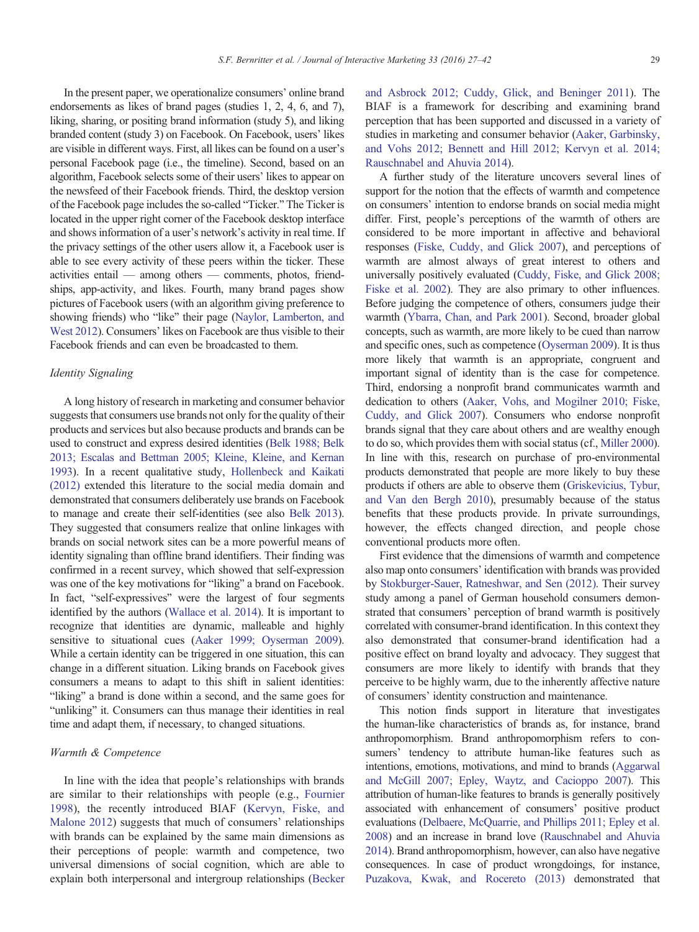In the present paper, we operationalize consumers' online brand endorsements as likes of brand pages (studies 1, 2, 4, 6, and 7), liking, sharing, or positing brand information (study 5), and liking branded content (study 3) on Facebook. On Facebook, users' likes are visible in different ways. First, all likes can be found on a user's personal Facebook page (i.e., the timeline). Second, based on an algorithm, Facebook selects some of their users' likes to appear on the newsfeed of their Facebook friends. Third, the desktop version of the Facebook page includes the so-called "Ticker." The Ticker is located in the upper right corner of the Facebook desktop interface and shows information of a user's network's activity in real time. If the privacy settings of the other users allow it, a Facebook user is able to see every activity of these peers within the ticker. These activities entail — among others — comments, photos, friendships, app-activity, and likes. Fourth, many brand pages show pictures of Facebook users (with an algorithm giving preference to showing friends) who "like" their page [\(Naylor, Lamberton, and](#page-15-0) [West 2012](#page-15-0)). Consumers' likes on Facebook are thus visible to their Facebook friends and can even be broadcasted to them.

# Identity Signaling

A long history of research in marketing and consumer behavior suggests that consumers use brands not only for the quality of their products and services but also because products and brands can be used to construct and express desired identities ([Belk 1988; Belk](#page-14-0) [2013; Escalas and Bettman 2005; Kleine, Kleine, and Kernan](#page-14-0) [1993\)](#page-14-0). In a recent qualitative study, [Hollenbeck and Kaikati](#page-15-0) [\(2012\)](#page-15-0) extended this literature to the social media domain and demonstrated that consumers deliberately use brands on Facebook to manage and create their self-identities (see also [Belk 2013\)](#page-14-0). They suggested that consumers realize that online linkages with brands on social network sites can be a more powerful means of identity signaling than offline brand identifiers. Their finding was confirmed in a recent survey, which showed that self-expression was one of the key motivations for "liking" a brand on Facebook. In fact, "self-expressives" were the largest of four segments identified by the authors ([Wallace et al. 2014](#page-16-0)). It is important to recognize that identities are dynamic, malleable and highly sensitive to situational cues [\(Aaker 1999; Oyserman 2009\)](#page-14-0). While a certain identity can be triggered in one situation, this can change in a different situation. Liking brands on Facebook gives consumers a means to adapt to this shift in salient identities: "liking" a brand is done within a second, and the same goes for "unliking" it. Consumers can thus manage their identities in real time and adapt them, if necessary, to changed situations.

#### Warmth & Competence

In line with the idea that people's relationships with brands are similar to their relationships with people (e.g., [Fournier](#page-15-0) [1998](#page-15-0)), the recently introduced BIAF ([Kervyn, Fiske, and](#page-15-0) [Malone 2012](#page-15-0)) suggests that much of consumers' relationships with brands can be explained by the same main dimensions as their perceptions of people: warmth and competence, two universal dimensions of social cognition, which are able to explain both interpersonal and intergroup relationships [\(Becker](#page-14-0) [and Asbrock 2012; Cuddy, Glick, and Beninger 2011\)](#page-14-0). The BIAF is a framework for describing and examining brand perception that has been supported and discussed in a variety of studies in marketing and consumer behavior ([Aaker, Garbinsky,](#page-14-0) [and Vohs 2012; Bennett and Hill 2012; Kervyn et al. 2014;](#page-14-0) [Rauschnabel and Ahuvia 2014\)](#page-14-0).

A further study of the literature uncovers several lines of support for the notion that the effects of warmth and competence on consumers' intention to endorse brands on social media might differ. First, people's perceptions of the warmth of others are considered to be more important in affective and behavioral responses [\(Fiske, Cuddy, and Glick 2007\)](#page-15-0), and perceptions of warmth are almost always of great interest to others and universally positively evaluated ([Cuddy, Fiske, and Glick 2008;](#page-14-0) [Fiske et al. 2002\)](#page-14-0). They are also primary to other influences. Before judging the competence of others, consumers judge their warmth [\(Ybarra, Chan, and Park 2001](#page-16-0)). Second, broader global concepts, such as warmth, are more likely to be cued than narrow and specific ones, such as competence ([Oyserman 2009\)](#page-15-0). It is thus more likely that warmth is an appropriate, congruent and important signal of identity than is the case for competence. Third, endorsing a nonprofit brand communicates warmth and dedication to others [\(Aaker, Vohs, and Mogilner 2010; Fiske,](#page-14-0) [Cuddy, and Glick 2007](#page-14-0)). Consumers who endorse nonprofit brands signal that they care about others and are wealthy enough to do so, which provides them with social status (cf., [Miller 2000](#page-15-0)). In line with this, research on purchase of pro-environmental products demonstrated that people are more likely to buy these products if others are able to observe them [\(Griskevicius, Tybur,](#page-15-0) [and Van den Bergh 2010](#page-15-0)), presumably because of the status benefits that these products provide. In private surroundings, however, the effects changed direction, and people chose conventional products more often.

First evidence that the dimensions of warmth and competence also map onto consumers' identification with brands was provided by [Stokburger-Sauer, Ratneshwar, and Sen \(2012\).](#page-16-0) Their survey study among a panel of German household consumers demonstrated that consumers' perception of brand warmth is positively correlated with consumer-brand identification. In this context they also demonstrated that consumer-brand identification had a positive effect on brand loyalty and advocacy. They suggest that consumers are more likely to identify with brands that they perceive to be highly warm, due to the inherently affective nature of consumers' identity construction and maintenance.

This notion finds support in literature that investigates the human-like characteristics of brands as, for instance, brand anthropomorphism. Brand anthropomorphism refers to consumers' tendency to attribute human-like features such as intentions, emotions, motivations, and mind to brands ([Aggarwal](#page-14-0) [and McGill 2007; Epley, Waytz, and Cacioppo 2007\)](#page-14-0). This attribution of human-like features to brands is generally positively associated with enhancement of consumers' positive product evaluations [\(Delbaere, McQuarrie, and Phillips 2011; Epley et al.](#page-15-0) [2008\)](#page-15-0) and an increase in brand love ([Rauschnabel and Ahuvia](#page-15-0) [2014\)](#page-15-0). Brand anthropomorphism, however, can also have negative consequences. In case of product wrongdoings, for instance, [Puzakova, Kwak, and Rocereto \(2013\)](#page-15-0) demonstrated that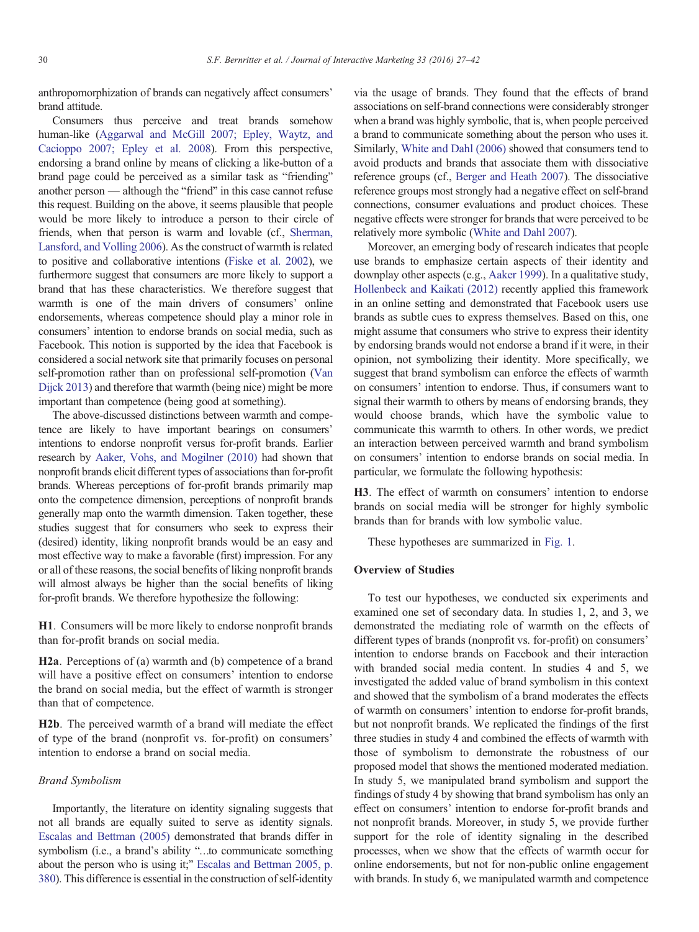anthropomorphization of brands can negatively affect consumers' brand attitude.

Consumers thus perceive and treat brands somehow human-like ([Aggarwal and McGill 2007; Epley, Waytz, and](#page-14-0) [Cacioppo 2007; Epley et al. 2008\)](#page-14-0). From this perspective, endorsing a brand online by means of clicking a like-button of a brand page could be perceived as a similar task as "friending" another person — although the "friend" in this case cannot refuse this request. Building on the above, it seems plausible that people would be more likely to introduce a person to their circle of friends, when that person is warm and lovable (cf., [Sherman,](#page-15-0) [Lansford, and Volling 2006\)](#page-15-0). As the construct of warmth is related to positive and collaborative intentions ([Fiske et al. 2002\)](#page-15-0), we furthermore suggest that consumers are more likely to support a brand that has these characteristics. We therefore suggest that warmth is one of the main drivers of consumers' online endorsements, whereas competence should play a minor role in consumers' intention to endorse brands on social media, such as Facebook. This notion is supported by the idea that Facebook is considered a social network site that primarily focuses on personal self-promotion rather than on professional self-promotion ([Van](#page-16-0) [Dijck 2013](#page-16-0)) and therefore that warmth (being nice) might be more important than competence (being good at something).

The above-discussed distinctions between warmth and competence are likely to have important bearings on consumers' intentions to endorse nonprofit versus for-profit brands. Earlier research by [Aaker, Vohs, and Mogilner \(2010\)](#page-14-0) had shown that nonprofit brands elicit different types of associations than for-profit brands. Whereas perceptions of for-profit brands primarily map onto the competence dimension, perceptions of nonprofit brands generally map onto the warmth dimension. Taken together, these studies suggest that for consumers who seek to express their (desired) identity, liking nonprofit brands would be an easy and most effective way to make a favorable (first) impression. For any or all of these reasons, the social benefits of liking nonprofit brands will almost always be higher than the social benefits of liking for-profit brands. We therefore hypothesize the following:

H1. Consumers will be more likely to endorse nonprofit brands than for-profit brands on social media.

H2a. Perceptions of (a) warmth and (b) competence of a brand will have a positive effect on consumers' intention to endorse the brand on social media, but the effect of warmth is stronger than that of competence.

H2b. The perceived warmth of a brand will mediate the effect of type of the brand (nonprofit vs. for-profit) on consumers' intention to endorse a brand on social media.

## Brand Symbolism

Importantly, the literature on identity signaling suggests that not all brands are equally suited to serve as identity signals. [Escalas and Bettman \(2005\)](#page-15-0) demonstrated that brands differ in symbolism (i.e., a brand's ability "…to communicate something about the person who is using it;" [Escalas and Bettman 2005, p.](#page-15-0) [380](#page-15-0)). This difference is essential in the construction of self-identity via the usage of brands. They found that the effects of brand associations on self-brand connections were considerably stronger when a brand was highly symbolic, that is, when people perceived a brand to communicate something about the person who uses it. Similarly, [White and Dahl \(2006\)](#page-16-0) showed that consumers tend to avoid products and brands that associate them with dissociative reference groups (cf., [Berger and Heath 2007\)](#page-14-0). The dissociative reference groups most strongly had a negative effect on self-brand connections, consumer evaluations and product choices. These negative effects were stronger for brands that were perceived to be relatively more symbolic [\(White and Dahl 2007\)](#page-16-0).

Moreover, an emerging body of research indicates that people use brands to emphasize certain aspects of their identity and downplay other aspects (e.g., [Aaker 1999\)](#page-14-0). In a qualitative study, [Hollenbeck and Kaikati \(2012\)](#page-15-0) recently applied this framework in an online setting and demonstrated that Facebook users use brands as subtle cues to express themselves. Based on this, one might assume that consumers who strive to express their identity by endorsing brands would not endorse a brand if it were, in their opinion, not symbolizing their identity. More specifically, we suggest that brand symbolism can enforce the effects of warmth on consumers' intention to endorse. Thus, if consumers want to signal their warmth to others by means of endorsing brands, they would choose brands, which have the symbolic value to communicate this warmth to others. In other words, we predict an interaction between perceived warmth and brand symbolism on consumers' intention to endorse brands on social media. In particular, we formulate the following hypothesis:

H3. The effect of warmth on consumers' intention to endorse brands on social media will be stronger for highly symbolic brands than for brands with low symbolic value.

These hypotheses are summarized in [Fig. 1.](#page-5-0)

# Overview of Studies

To test our hypotheses, we conducted six experiments and examined one set of secondary data. In studies 1, 2, and 3, we demonstrated the mediating role of warmth on the effects of different types of brands (nonprofit vs. for-profit) on consumers' intention to endorse brands on Facebook and their interaction with branded social media content. In studies 4 and 5, we investigated the added value of brand symbolism in this context and showed that the symbolism of a brand moderates the effects of warmth on consumers' intention to endorse for-profit brands, but not nonprofit brands. We replicated the findings of the first three studies in study 4 and combined the effects of warmth with those of symbolism to demonstrate the robustness of our proposed model that shows the mentioned moderated mediation. In study 5, we manipulated brand symbolism and support the findings of study 4 by showing that brand symbolism has only an effect on consumers' intention to endorse for-profit brands and not nonprofit brands. Moreover, in study 5, we provide further support for the role of identity signaling in the described processes, when we show that the effects of warmth occur for online endorsements, but not for non-public online engagement with brands. In study 6, we manipulated warmth and competence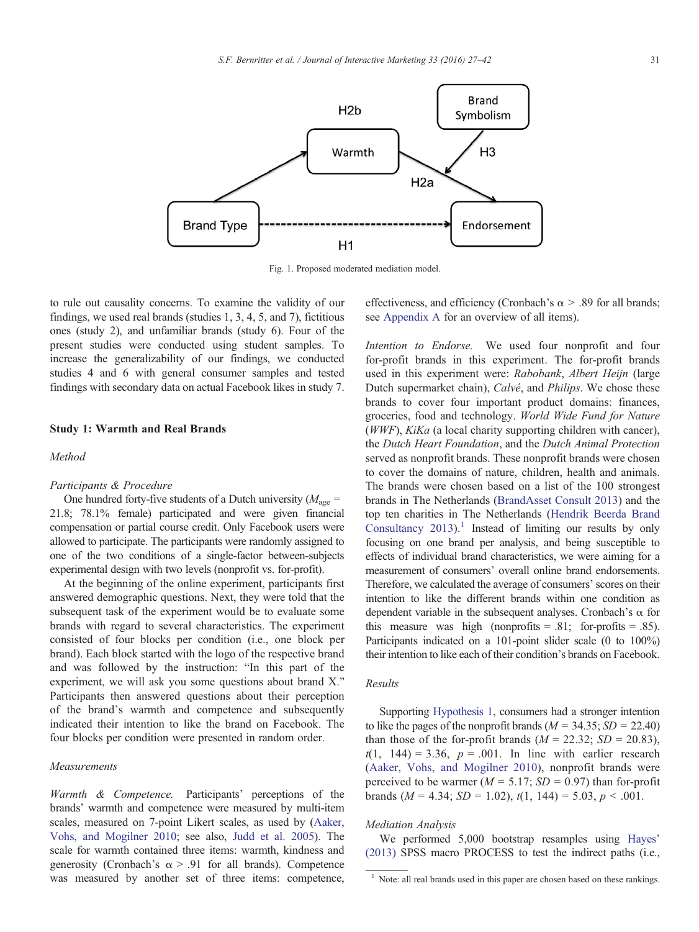<span id="page-5-0"></span>

Fig. 1. Proposed moderated mediation model.

to rule out causality concerns. To examine the validity of our findings, we used real brands (studies 1, 3, 4, 5, and 7), fictitious ones (study 2), and unfamiliar brands (study 6). Four of the present studies were conducted using student samples. To increase the generalizability of our findings, we conducted studies 4 and 6 with general consumer samples and tested findings with secondary data on actual Facebook likes in study 7.

#### Study 1: Warmth and Real Brands

#### Method

#### Participants & Procedure

One hundred forty-five students of a Dutch university ( $M_{\text{age}} =$ 21.8; 78.1% female) participated and were given financial compensation or partial course credit. Only Facebook users were allowed to participate. The participants were randomly assigned to one of the two conditions of a single-factor between-subjects experimental design with two levels (nonprofit vs. for-profit).

At the beginning of the online experiment, participants first answered demographic questions. Next, they were told that the subsequent task of the experiment would be to evaluate some brands with regard to several characteristics. The experiment consisted of four blocks per condition (i.e., one block per brand). Each block started with the logo of the respective brand and was followed by the instruction: "In this part of the experiment, we will ask you some questions about brand X." Participants then answered questions about their perception of the brand's warmth and competence and subsequently indicated their intention to like the brand on Facebook. The four blocks per condition were presented in random order.

#### Measurements

Warmth & Competence. Participants' perceptions of the brands' warmth and competence were measured by multi-item scales, measured on 7-point Likert scales, as used by [\(Aaker,](#page-14-0) [Vohs, and Mogilner 2010](#page-14-0); see also, [Judd et al. 2005\)](#page-15-0). The scale for warmth contained three items: warmth, kindness and generosity (Cronbach's  $\alpha$  > .91 for all brands). Competence was measured by another set of three items: competence, effectiveness, and efficiency (Cronbach's  $\alpha$  > .89 for all brands; see [Appendix A](#page-13-0) for an overview of all items).

Intention to Endorse. We used four nonprofit and four for-profit brands in this experiment. The for-profit brands used in this experiment were: Rabobank, Albert Heijn (large Dutch supermarket chain), Calvé, and Philips. We chose these brands to cover four important product domains: finances, groceries, food and technology. World Wide Fund for Nature (WWF), KiKa (a local charity supporting children with cancer), the Dutch Heart Foundation, and the Dutch Animal Protection served as nonprofit brands. These nonprofit brands were chosen to cover the domains of nature, children, health and animals. The brands were chosen based on a list of the 100 strongest brands in The Netherlands ([BrandAsset Consult 2013\)](#page-14-0) and the top ten charities in The Netherlands [\(Hendrik Beerda Brand](#page-15-0)  $Consultancy 2013$ .<sup>1</sup> Instead of limiting our results by only focusing on one brand per analysis, and being susceptible to effects of individual brand characteristics, we were aiming for a measurement of consumers' overall online brand endorsements. Therefore, we calculated the average of consumers' scores on their intention to like the different brands within one condition as dependent variable in the subsequent analyses. Cronbach's  $\alpha$  for this measure was high (nonprofits  $= .81$ ; for-profits  $= .85$ ). Participants indicated on a 101-point slider scale (0 to 100%) their intention to like each of their condition's brands on Facebook.

## Results

Supporting Hypothesis 1, consumers had a stronger intention to like the pages of the nonprofit brands ( $M = 34.35$ ;  $SD = 22.40$ ) than those of the for-profit brands ( $M = 22.32$ ;  $SD = 20.83$ ),  $t(1, 144) = 3.36$ ,  $p = .001$ . In line with earlier research ([Aaker, Vohs, and Mogilner 2010](#page-14-0)), nonprofit brands were perceived to be warmer ( $M = 5.17$ ;  $SD = 0.97$ ) than for-profit brands ( $M = 4.34$ ;  $SD = 1.02$ ),  $t(1, 144) = 5.03$ ,  $p < .001$ .

#### Mediation Analysis

We performed 5,000 bootstrap resamples using [Hayes'](#page-15-0) [\(2013\)](#page-15-0) SPSS macro PROCESS to test the indirect paths (i.e.,

Note: all real brands used in this paper are chosen based on these rankings.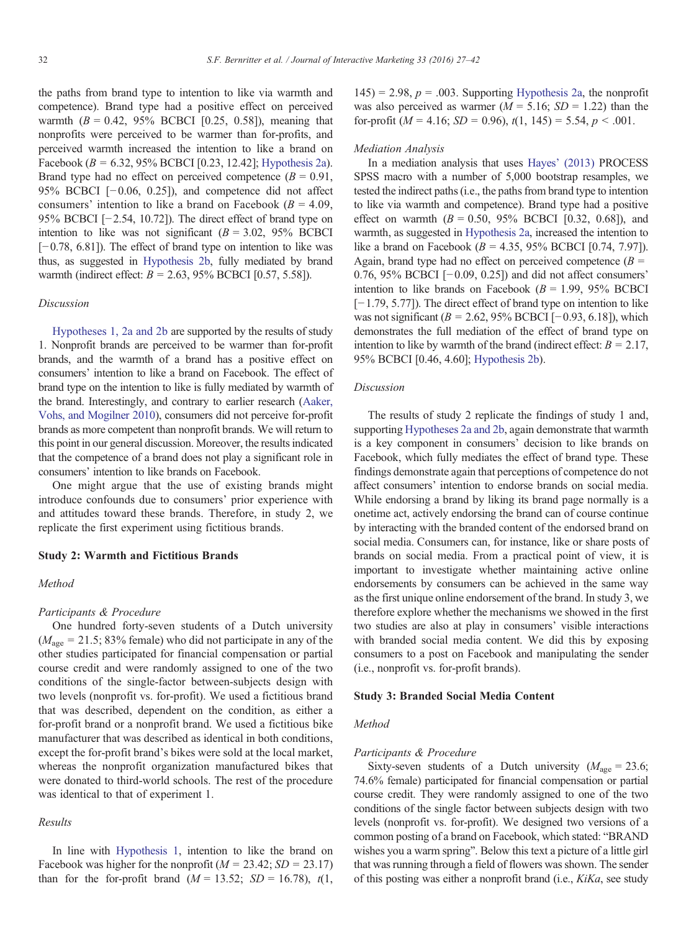the paths from brand type to intention to like via warmth and competence). Brand type had a positive effect on perceived warmth  $(B = 0.42, 95\%$  BCBCI [0.25, 0.58]), meaning that nonprofits were perceived to be warmer than for-profits, and perceived warmth increased the intention to like a brand on Facebook ( $B = 6.32$ , 95% BCBCI [0.23, 12.42]; Hypothesis 2a). Brand type had no effect on perceived competence  $(B = 0.91$ , 95% BCBCI [−0.06, 0.25]), and competence did not affect consumers' intention to like a brand on Facebook ( $B = 4.09$ , 95% BCBCI [−2.54, 10.72]). The direct effect of brand type on intention to like was not significant  $(B = 3.02, 95\%$  BCBCI [−0.78, 6.81]). The effect of brand type on intention to like was thus, as suggested in Hypothesis 2b, fully mediated by brand warmth (indirect effect:  $B = 2.63$ , 95% BCBCI [0.57, 5.58]).

#### Discussion

Hypotheses 1, 2a and 2b are supported by the results of study 1. Nonprofit brands are perceived to be warmer than for-profit brands, and the warmth of a brand has a positive effect on consumers' intention to like a brand on Facebook. The effect of brand type on the intention to like is fully mediated by warmth of the brand. Interestingly, and contrary to earlier research [\(Aaker,](#page-14-0) [Vohs, and Mogilner 2010](#page-14-0)), consumers did not perceive for-profit brands as more competent than nonprofit brands. We will return to this point in our general discussion. Moreover, the results indicated that the competence of a brand does not play a significant role in consumers' intention to like brands on Facebook.

One might argue that the use of existing brands might introduce confounds due to consumers' prior experience with and attitudes toward these brands. Therefore, in study 2, we replicate the first experiment using fictitious brands.

#### Study 2: Warmth and Fictitious Brands

### Method

#### Participants & Procedure

One hundred forty-seven students of a Dutch university  $(M<sub>age</sub> = 21.5; 83%$  female) who did not participate in any of the other studies participated for financial compensation or partial course credit and were randomly assigned to one of the two conditions of the single-factor between-subjects design with two levels (nonprofit vs. for-profit). We used a fictitious brand that was described, dependent on the condition, as either a for-profit brand or a nonprofit brand. We used a fictitious bike manufacturer that was described as identical in both conditions, except the for-profit brand's bikes were sold at the local market, whereas the nonprofit organization manufactured bikes that were donated to third-world schools. The rest of the procedure was identical to that of experiment 1.

#### Results

In line with Hypothesis 1, intention to like the brand on Facebook was higher for the nonprofit ( $M = 23.42$ ;  $SD = 23.17$ ) than for the for-profit brand  $(M = 13.52; SD = 16.78)$ ,  $t(1,$   $145$ ) = 2.98,  $p = 0.003$ . Supporting Hypothesis 2a, the nonprofit was also perceived as warmer  $(M = 5.16; SD = 1.22)$  than the for-profit ( $M = 4.16$ ;  $SD = 0.96$ ),  $t(1, 145) = 5.54$ ,  $p < .001$ .

#### Mediation Analysis

In a mediation analysis that uses [Hayes' \(2013\)](#page-15-0) PROCESS SPSS macro with a number of 5,000 bootstrap resamples, we tested the indirect paths (i.e., the paths from brand type to intention to like via warmth and competence). Brand type had a positive effect on warmth  $(B = 0.50, 95\%$  BCBCI [0.32, 0.68]), and warmth, as suggested in Hypothesis 2a, increased the intention to like a brand on Facebook ( $B = 4.35$ , 95% BCBCI [0.74, 7.97]). Again, brand type had no effect on perceived competence  $(B =$ 0.76, 95% BCBCI [−0.09, 0.25]) and did not affect consumers' intention to like brands on Facebook ( $B = 1.99$ , 95% BCBCI [−1.79, 5.77]). The direct effect of brand type on intention to like was not significant ( $B = 2.62$ , 95% BCBCI [−0.93, 6.18]), which demonstrates the full mediation of the effect of brand type on intention to like by warmth of the brand (indirect effect:  $B = 2.17$ , 95% BCBCI [0.46, 4.60]; Hypothesis 2b).

#### Discussion

The results of study 2 replicate the findings of study 1 and, supporting Hypotheses 2a and 2b, again demonstrate that warmth is a key component in consumers' decision to like brands on Facebook, which fully mediates the effect of brand type. These findings demonstrate again that perceptions of competence do not affect consumers' intention to endorse brands on social media. While endorsing a brand by liking its brand page normally is a onetime act, actively endorsing the brand can of course continue by interacting with the branded content of the endorsed brand on social media. Consumers can, for instance, like or share posts of brands on social media. From a practical point of view, it is important to investigate whether maintaining active online endorsements by consumers can be achieved in the same way as the first unique online endorsement of the brand. In study 3, we therefore explore whether the mechanisms we showed in the first two studies are also at play in consumers' visible interactions with branded social media content. We did this by exposing consumers to a post on Facebook and manipulating the sender (i.e., nonprofit vs. for-profit brands).

#### Study 3: Branded Social Media Content

#### Method

#### Participants & Procedure

Sixty-seven students of a Dutch university ( $M_{\text{age}} = 23.6$ ; 74.6% female) participated for financial compensation or partial course credit. They were randomly assigned to one of the two conditions of the single factor between subjects design with two levels (nonprofit vs. for-profit). We designed two versions of a common posting of a brand on Facebook, which stated: "BRAND wishes you a warm spring". Below this text a picture of a little girl that was running through a field of flowers was shown. The sender of this posting was either a nonprofit brand (i.e., KiKa, see study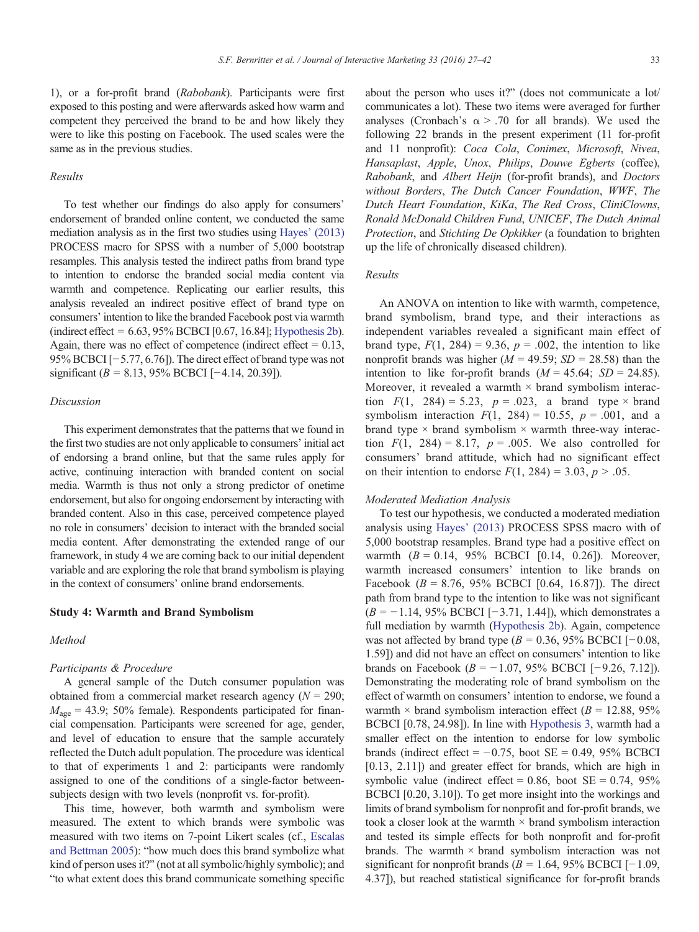<span id="page-7-0"></span>1), or a for-profit brand (Rabobank). Participants were first exposed to this posting and were afterwards asked how warm and competent they perceived the brand to be and how likely they were to like this posting on Facebook. The used scales were the same as in the previous studies.

# Results

To test whether our findings do also apply for consumers' endorsement of branded online content, we conducted the same mediation analysis as in the first two studies using [Hayes' \(2013\)](#page-15-0) PROCESS macro for SPSS with a number of 5,000 bootstrap resamples. This analysis tested the indirect paths from brand type to intention to endorse the branded social media content via warmth and competence. Replicating our earlier results, this analysis revealed an indirect positive effect of brand type on consumers' intention to like the branded Facebook post via warmth (indirect effect = 6.63, 95% BCBCI [0.67, 16.84]; Hypothesis 2b). Again, there was no effect of competence (indirect effect  $= 0.13$ , 95% BCBCI [−5.77, 6.76]). The direct effect of brand type was not significant ( $B = 8.13$ , 95% BCBCI [−4.14, 20.39]).

#### Discussion

This experiment demonstrates that the patterns that we found in the first two studies are not only applicable to consumers' initial act of endorsing a brand online, but that the same rules apply for active, continuing interaction with branded content on social media. Warmth is thus not only a strong predictor of onetime endorsement, but also for ongoing endorsement by interacting with branded content. Also in this case, perceived competence played no role in consumers' decision to interact with the branded social media content. After demonstrating the extended range of our framework, in study 4 we are coming back to our initial dependent variable and are exploring the role that brand symbolism is playing in the context of consumers' online brand endorsements.

#### Study 4: Warmth and Brand Symbolism

#### Method

### Participants & Procedure

A general sample of the Dutch consumer population was obtained from a commercial market research agency  $(N = 290)$ ;  $M_{\text{ave}} = 43.9$ ; 50% female). Respondents participated for financial compensation. Participants were screened for age, gender, and level of education to ensure that the sample accurately reflected the Dutch adult population. The procedure was identical to that of experiments 1 and 2: participants were randomly assigned to one of the conditions of a single-factor betweensubjects design with two levels (nonprofit vs. for-profit).

This time, however, both warmth and symbolism were measured. The extent to which brands were symbolic was measured with two items on 7-point Likert scales (cf., [Escalas](#page-15-0) [and Bettman 2005](#page-15-0)): "how much does this brand symbolize what kind of person uses it?" (not at all symbolic/highly symbolic); and "to what extent does this brand communicate something specific about the person who uses it?" (does not communicate a lot/ communicates a lot). These two items were averaged for further analyses (Cronbach's  $\alpha$  > .70 for all brands). We used the following 22 brands in the present experiment (11 for-profit and 11 nonprofit): Coca Cola, Conimex, Microsoft, Nivea, Hansaplast, Apple, Unox, Philips, Douwe Egberts (coffee), Rabobank, and Albert Heijn (for-profit brands), and Doctors without Borders, The Dutch Cancer Foundation, WWF, The Dutch Heart Foundation, KiKa, The Red Cross, CliniClowns, Ronald McDonald Children Fund, UNICEF, The Dutch Animal Protection, and Stichting De Opkikker (a foundation to brighten up the life of chronically diseased children).

#### Results

An ANOVA on intention to like with warmth, competence, brand symbolism, brand type, and their interactions as independent variables revealed a significant main effect of brand type,  $F(1, 284) = 9.36$ ,  $p = .002$ , the intention to like nonprofit brands was higher ( $M = 49.59$ ;  $SD = 28.58$ ) than the intention to like for-profit brands  $(M = 45.64; SD = 24.85)$ . Moreover, it revealed a warmth  $\times$  brand symbolism interaction  $F(1, 284) = 5.23$ ,  $p = .023$ , a brand type × brand symbolism interaction  $F(1, 284) = 10.55$ ,  $p = .001$ , and a brand type  $\times$  brand symbolism  $\times$  warmth three-way interaction  $F(1, 284) = 8.17$ ,  $p = .005$ . We also controlled for consumers' brand attitude, which had no significant effect on their intention to endorse  $F(1, 284) = 3.03$ ,  $p > .05$ .

#### Moderated Mediation Analysis

To test our hypothesis, we conducted a moderated mediation analysis using [Hayes' \(2013\)](#page-15-0) PROCESS SPSS macro with of 5,000 bootstrap resamples. Brand type had a positive effect on warmth  $(B = 0.14, 95\%$  BCBCI [0.14, 0.26]). Moreover, warmth increased consumers' intention to like brands on Facebook ( $B = 8.76$ , 95% BCBCI [0.64, 16.87]). The direct path from brand type to the intention to like was not significant  $(B = -1.14, 95\%$  BCBCI [−3.71, 1.44]), which demonstrates a full mediation by warmth (Hypothesis 2b). Again, competence was not affected by brand type ( $B = 0.36$ , 95% BCBCI [−0.08, 1.59]) and did not have an effect on consumers' intention to like brands on Facebook ( $B = -1.07$ , 95% BCBCI [−9.26, 7.12]). Demonstrating the moderating role of brand symbolism on the effect of warmth on consumers' intention to endorse, we found a warmth  $\times$  brand symbolism interaction effect ( $B = 12.88, 95\%$ ) BCBCI [0.78, 24.98]). In line with Hypothesis 3, warmth had a smaller effect on the intention to endorse for low symbolic brands (indirect effect =  $-0.75$ , boot SE = 0.49, 95% BCBCI [0.13, 2.11]) and greater effect for brands, which are high in symbolic value (indirect effect =  $0.86$ , boot SE =  $0.74$ ,  $95\%$ BCBCI [0.20, 3.10]). To get more insight into the workings and limits of brand symbolism for nonprofit and for-profit brands, we took a closer look at the warmth  $\times$  brand symbolism interaction and tested its simple effects for both nonprofit and for-profit brands. The warmth  $\times$  brand symbolism interaction was not significant for nonprofit brands ( $B = 1.64$ , 95% BCBCI [−1.09, 4.37]), but reached statistical significance for for-profit brands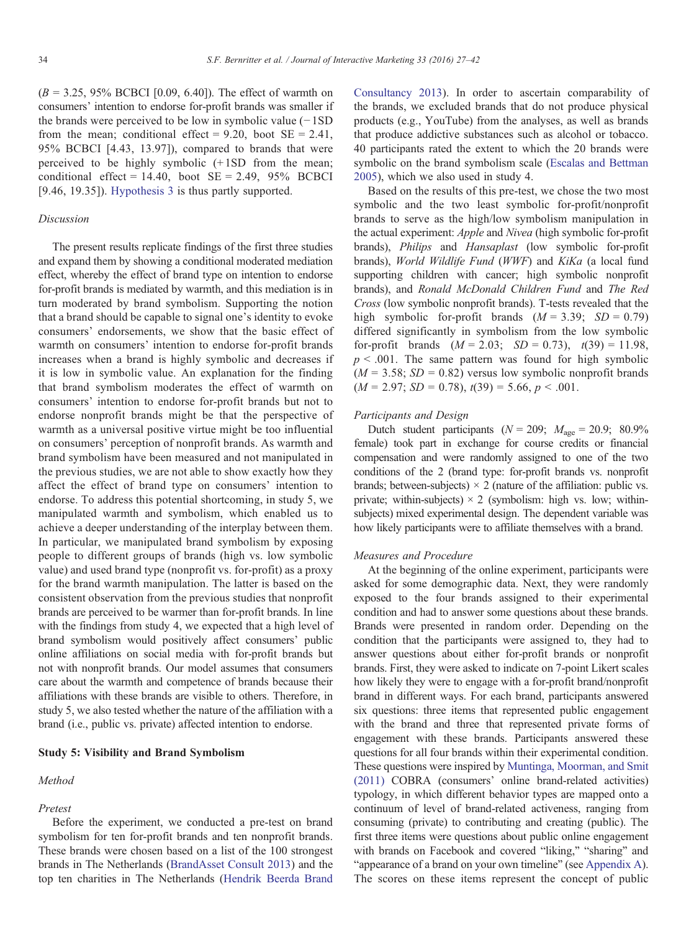$(B = 3.25, 95\%$  BCBCI [0.09, 6.40]). The effect of warmth on consumers' intention to endorse for-profit brands was smaller if the brands were perceived to be low in symbolic value  $(-1SD)$ from the mean; conditional effect =  $9.20$ , boot SE = 2.41, 95% BCBCI [4.43, 13.97]), compared to brands that were perceived to be highly symbolic (+ 1SD from the mean; conditional effect = 14.40, boot  $SE = 2.49$ , 95% BCBCI [9.46, 19.35]). Hypothesis 3 is thus partly supported.

### Discussion

The present results replicate findings of the first three studies and expand them by showing a conditional moderated mediation effect, whereby the effect of brand type on intention to endorse for-profit brands is mediated by warmth, and this mediation is in turn moderated by brand symbolism. Supporting the notion that a brand should be capable to signal one's identity to evoke consumers' endorsements, we show that the basic effect of warmth on consumers' intention to endorse for-profit brands increases when a brand is highly symbolic and decreases if it is low in symbolic value. An explanation for the finding that brand symbolism moderates the effect of warmth on consumers' intention to endorse for-profit brands but not to endorse nonprofit brands might be that the perspective of warmth as a universal positive virtue might be too influential on consumers' perception of nonprofit brands. As warmth and brand symbolism have been measured and not manipulated in the previous studies, we are not able to show exactly how they affect the effect of brand type on consumers' intention to endorse. To address this potential shortcoming, in study 5, we manipulated warmth and symbolism, which enabled us to achieve a deeper understanding of the interplay between them. In particular, we manipulated brand symbolism by exposing people to different groups of brands (high vs. low symbolic value) and used brand type (nonprofit vs. for-profit) as a proxy for the brand warmth manipulation. The latter is based on the consistent observation from the previous studies that nonprofit brands are perceived to be warmer than for-profit brands. In line with the findings from study 4, we expected that a high level of brand symbolism would positively affect consumers' public online affiliations on social media with for-profit brands but not with nonprofit brands. Our model assumes that consumers care about the warmth and competence of brands because their affiliations with these brands are visible to others. Therefore, in study 5, we also tested whether the nature of the affiliation with a brand (i.e., public vs. private) affected intention to endorse.

# Study 5: Visibility and Brand Symbolism

# Method

#### Pretest

Before the experiment, we conducted a pre-test on brand symbolism for ten for-profit brands and ten nonprofit brands. These brands were chosen based on a list of the 100 strongest brands in The Netherlands [\(BrandAsset Consult 2013](#page-14-0)) and the top ten charities in The Netherlands ([Hendrik Beerda Brand](#page-15-0)

[Consultancy 2013](#page-15-0)). In order to ascertain comparability of the brands, we excluded brands that do not produce physical products (e.g., YouTube) from the analyses, as well as brands that produce addictive substances such as alcohol or tobacco. 40 participants rated the extent to which the 20 brands were symbolic on the brand symbolism scale ([Escalas and Bettman](#page-15-0) [2005\)](#page-15-0), which we also used in study 4.

Based on the results of this pre-test, we chose the two most symbolic and the two least symbolic for-profit/nonprofit brands to serve as the high/low symbolism manipulation in the actual experiment: Apple and Nivea (high symbolic for-profit brands), Philips and Hansaplast (low symbolic for-profit brands), World Wildlife Fund (WWF) and KiKa (a local fund supporting children with cancer; high symbolic nonprofit brands), and Ronald McDonald Children Fund and The Red Cross (low symbolic nonprofit brands). T-tests revealed that the high symbolic for-profit brands  $(M = 3.39; SD = 0.79)$ differed significantly in symbolism from the low symbolic for-profit brands  $(M = 2.03; SD = 0.73)$ ,  $t(39) = 11.98$ ,  $p < .001$ . The same pattern was found for high symbolic  $(M = 3.58; SD = 0.82)$  versus low symbolic nonprofit brands  $(M = 2.97; SD = 0.78), t(39) = 5.66, p < .001.$ 

#### Participants and Design

Dutch student participants ( $N = 209$ ;  $M_{\text{age}} = 20.9$ ; 80.9% female) took part in exchange for course credits or financial compensation and were randomly assigned to one of the two conditions of the 2 (brand type: for-profit brands vs. nonprofit brands; between-subjects)  $\times$  2 (nature of the affiliation: public vs. private; within-subjects)  $\times$  2 (symbolism: high vs. low; withinsubjects) mixed experimental design. The dependent variable was how likely participants were to affiliate themselves with a brand.

#### Measures and Procedure

At the beginning of the online experiment, participants were asked for some demographic data. Next, they were randomly exposed to the four brands assigned to their experimental condition and had to answer some questions about these brands. Brands were presented in random order. Depending on the condition that the participants were assigned to, they had to answer questions about either for-profit brands or nonprofit brands. First, they were asked to indicate on 7-point Likert scales how likely they were to engage with a for-profit brand/nonprofit brand in different ways. For each brand, participants answered six questions: three items that represented public engagement with the brand and three that represented private forms of engagement with these brands. Participants answered these questions for all four brands within their experimental condition. These questions were inspired by [Muntinga, Moorman, and Smit](#page-15-0) [\(2011\)](#page-15-0) COBRA (consumers' online brand-related activities) typology, in which different behavior types are mapped onto a continuum of level of brand-related activeness, ranging from consuming (private) to contributing and creating (public). The first three items were questions about public online engagement with brands on Facebook and covered "liking," "sharing" and "appearance of a brand on your own timeline" (see [Appendix A](#page-13-0)). The scores on these items represent the concept of public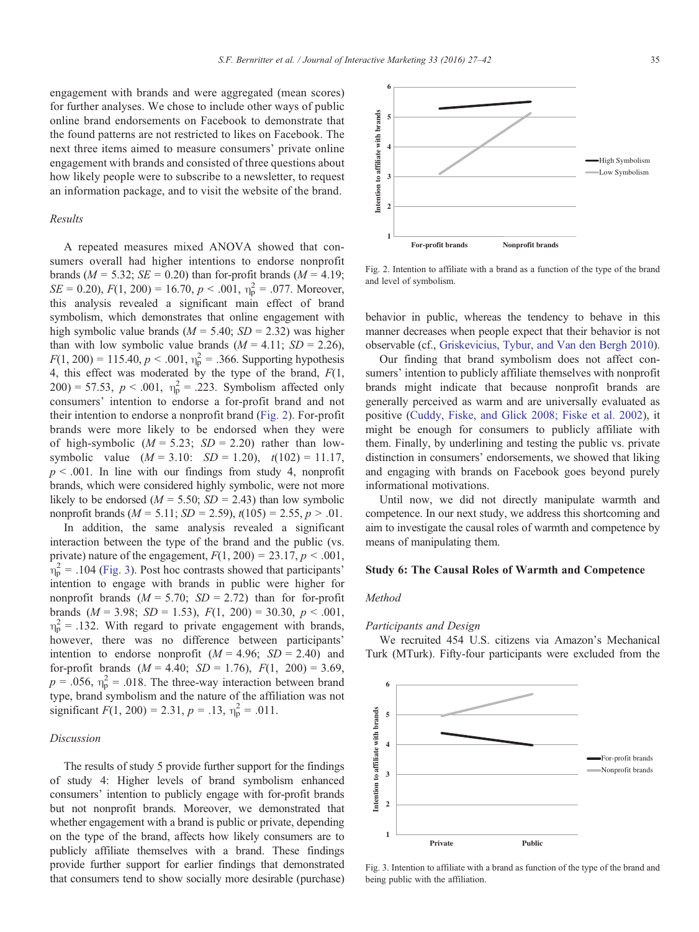engagement with brands and were aggregated (mean scores) for further analyses. We chose to include other ways of public online brand endorsements on Facebook to demonstrate that the found patterns are not restricted to likes on Facebook. The next three items aimed to measure consumers' private online engagement with brands and consisted of three questions about how likely people were to subscribe to a newsletter, to request an information package, and to visit the website of the brand.

#### Results

A repeated measures mixed ANOVA showed that consumers overall had higher intentions to endorse nonprofit brands ( $M = 5.32$ ;  $SE = 0.20$ ) than for-profit brands ( $M = 4.19$ ;  $SE = 0.20$ ,  $F(1, 200) = 16.70$ ,  $p < .001$ ,  $\eta_p^2 = .077$ . Moreover, this analysis revealed a significant main effect of brand symbolism, which demonstrates that online engagement with high symbolic value brands ( $M = 5.40$ ;  $SD = 2.32$ ) was higher than with low symbolic value brands  $(M = 4.11; SD = 2.26)$ ,  $F(1, 200) = 115.40, p < .001, \eta_p^2 = .366$ . Supporting hypothesis 4, this effect was moderated by the type of the brand,  $F(1, 1)$  $200$ ) = 57.53,  $p < .001$ ,  $\eta_p^2 = .223$ . Symbolism affected only consumers' intention to endorse a for-profit brand and not their intention to endorse a nonprofit brand (Fig. 2). For-profit brands were more likely to be endorsed when they were of high-symbolic  $(M = 5.23; SD = 2.20)$  rather than lowsymbolic value  $(M = 3.10; SD = 1.20), t(102) = 11.17,$  $p \le 0.001$ . In line with our findings from study 4, nonprofit brands, which were considered highly symbolic, were not more likely to be endorsed ( $M = 5.50$ ;  $SD = 2.43$ ) than low symbolic nonprofit brands ( $M = 5.11$ ;  $SD = 2.59$ ),  $t(105) = 2.55$ ,  $p > .01$ .

In addition, the same analysis revealed a significant interaction between the type of the brand and the public (vs. private) nature of the engagement,  $F(1, 200) = 23.17$ ,  $p < .001$ ,  $\eta_p^2$  = .104 (Fig. 3). Post hoc contrasts showed that participants' intention to engage with brands in public were higher for nonprofit brands  $(M = 5.70; SD = 2.72)$  than for for-profit brands  $(M = 3.98; SD = 1.53), F(1, 200) = 30.30, p < .001,$  $\eta_p^2$  = .132. With regard to private engagement with brands, however, there was no difference between participants' intention to endorse nonprofit  $(M = 4.96; SD = 2.40)$  and for-profit brands  $(M = 4.40; SD = 1.76)$ ,  $F(1, 200) = 3.69$ ,  $p = .056$ ,  $\eta_p^2 = .018$ . The three-way interaction between brand type, brand symbolism and the nature of the affiliation was not significant  $F(1, 200) = 2.31, p = .13, \eta_p^2 = .011$ .

#### Discussion

The results of study 5 provide further support for the findings of study 4: Higher levels of brand symbolism enhanced consumers' intention to publicly engage with for-profit brands but not nonprofit brands. Moreover, we demonstrated that whether engagement with a brand is public or private, depending on the type of the brand, affects how likely consumers are to publicly affiliate themselves with a brand. These findings provide further support for earlier findings that demonstrated that consumers tend to show socially more desirable (purchase)



Fig. 2. Intention to affiliate with a brand as a function of the type of the brand and level of symbolism.

behavior in public, whereas the tendency to behave in this manner decreases when people expect that their behavior is not observable (cf., [Griskevicius, Tybur, and Van den Bergh 2010\)](#page-15-0).

Our finding that brand symbolism does not affect consumers' intention to publicly affiliate themselves with nonprofit brands might indicate that because nonprofit brands are generally perceived as warm and are universally evaluated as positive ([Cuddy, Fiske, and Glick 2008; Fiske et al. 2002\)](#page-14-0), it might be enough for consumers to publicly affiliate with them. Finally, by underlining and testing the public vs. private distinction in consumers' endorsements, we showed that liking and engaging with brands on Facebook goes beyond purely informational motivations.

Until now, we did not directly manipulate warmth and competence. In our next study, we address this shortcoming and aim to investigate the causal roles of warmth and competence by means of manipulating them.

#### Study 6: The Causal Roles of Warmth and Competence

#### Method

#### Participants and Design

We recruited 454 U.S. citizens via Amazon's Mechanical Turk (MTurk). Fifty-four participants were excluded from the



Fig. 3. Intention to affiliate with a brand as function of the type of the brand and being public with the affiliation.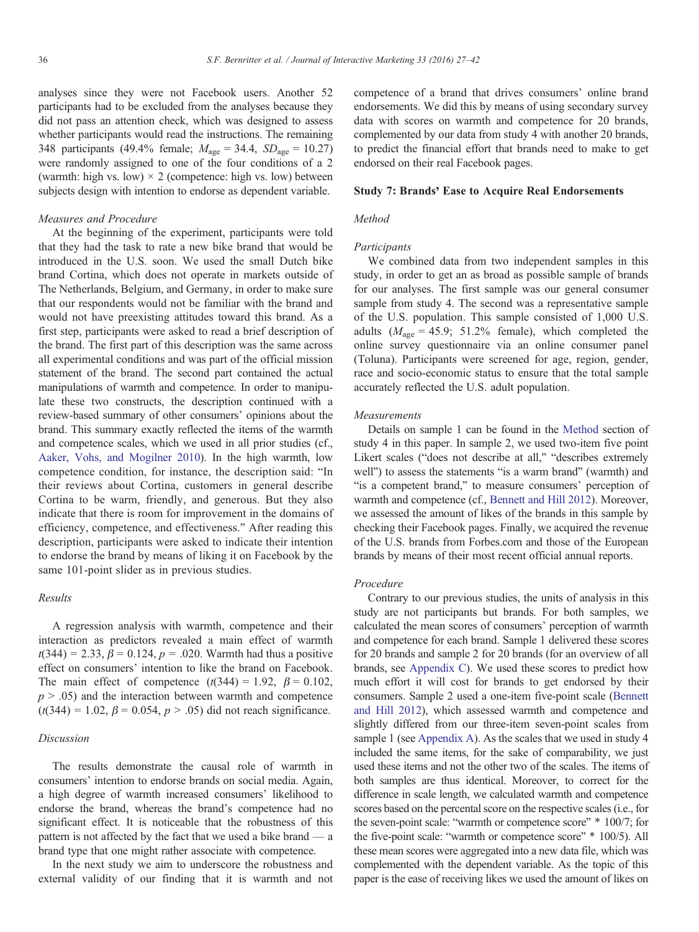analyses since they were not Facebook users. Another 52 participants had to be excluded from the analyses because they did not pass an attention check, which was designed to assess whether participants would read the instructions. The remaining 348 participants (49.4% female;  $M_{\text{age}} = 34.4$ ,  $SD_{\text{age}} = 10.27$ ) were randomly assigned to one of the four conditions of a 2 (warmth: high vs. low)  $\times$  2 (competence: high vs. low) between subjects design with intention to endorse as dependent variable.

#### Measures and Procedure

At the beginning of the experiment, participants were told that they had the task to rate a new bike brand that would be introduced in the U.S. soon. We used the small Dutch bike brand Cortina, which does not operate in markets outside of The Netherlands, Belgium, and Germany, in order to make sure that our respondents would not be familiar with the brand and would not have preexisting attitudes toward this brand. As a first step, participants were asked to read a brief description of the brand. The first part of this description was the same across all experimental conditions and was part of the official mission statement of the brand. The second part contained the actual manipulations of warmth and competence. In order to manipulate these two constructs, the description continued with a review-based summary of other consumers' opinions about the brand. This summary exactly reflected the items of the warmth and competence scales, which we used in all prior studies (cf., [Aaker, Vohs, and Mogilner 2010\)](#page-14-0). In the high warmth, low competence condition, for instance, the description said: "In their reviews about Cortina, customers in general describe Cortina to be warm, friendly, and generous. But they also indicate that there is room for improvement in the domains of efficiency, competence, and effectiveness." After reading this description, participants were asked to indicate their intention to endorse the brand by means of liking it on Facebook by the same 101-point slider as in previous studies.

#### Results

A regression analysis with warmth, competence and their interaction as predictors revealed a main effect of warmth  $t(344) = 2.33, \beta = 0.124, p = .020$ . Warmth had thus a positive effect on consumers' intention to like the brand on Facebook. The main effect of competence  $(t(344) = 1.92, \beta = 0.102,$  $p > .05$ ) and the interaction between warmth and competence  $(t(344) = 1.02, \beta = 0.054, p > .05)$  did not reach significance.

#### Discussion

The results demonstrate the causal role of warmth in consumers' intention to endorse brands on social media. Again, a high degree of warmth increased consumers' likelihood to endorse the brand, whereas the brand's competence had no significant effect. It is noticeable that the robustness of this pattern is not affected by the fact that we used a bike brand — a brand type that one might rather associate with competence.

In the next study we aim to underscore the robustness and external validity of our finding that it is warmth and not

competence of a brand that drives consumers' online brand endorsements. We did this by means of using secondary survey data with scores on warmth and competence for 20 brands, complemented by our data from study 4 with another 20 brands, to predict the financial effort that brands need to make to get endorsed on their real Facebook pages.

#### Study 7: Brands' Ease to Acquire Real Endorsements

#### Method

#### **Participants**

We combined data from two independent samples in this study, in order to get an as broad as possible sample of brands for our analyses. The first sample was our general consumer sample from study 4. The second was a representative sample of the U.S. population. This sample consisted of 1,000 U.S. adults ( $M_{\text{age}} = 45.9$ ; 51.2% female), which completed the online survey questionnaire via an online consumer panel (Toluna). Participants were screened for age, region, gender, race and socio-economic status to ensure that the total sample accurately reflected the U.S. adult population.

#### Measurements

Details on sample 1 can be found in the [Method](#page-7-0) section of study 4 in this paper. In sample 2, we used two-item five point Likert scales ("does not describe at all," "describes extremely well") to assess the statements "is a warm brand" (warmth) and "is a competent brand," to measure consumers' perception of warmth and competence (cf., [Bennett and Hill 2012\)](#page-14-0). Moreover, we assessed the amount of likes of the brands in this sample by checking their Facebook pages. Finally, we acquired the revenue of the U.S. brands from Forbes.com and those of the European brands by means of their most recent official annual reports.

### Procedure

Contrary to our previous studies, the units of analysis in this study are not participants but brands. For both samples, we calculated the mean scores of consumers' perception of warmth and competence for each brand. Sample 1 delivered these scores for 20 brands and sample 2 for 20 brands (for an overview of all brands, see [Appendix C](#page-14-0)). We used these scores to predict how much effort it will cost for brands to get endorsed by their consumers. Sample 2 used a one-item five-point scale ([Bennett](#page-14-0) [and Hill 2012](#page-14-0)), which assessed warmth and competence and slightly differed from our three-item seven-point scales from sample 1 (see [Appendix A](#page-13-0)). As the scales that we used in study 4 included the same items, for the sake of comparability, we just used these items and not the other two of the scales. The items of both samples are thus identical. Moreover, to correct for the difference in scale length, we calculated warmth and competence scores based on the percental score on the respective scales (i.e., for the seven-point scale: "warmth or competence score" ∗ 100/7; for the five-point scale: "warmth or competence score" ∗ 100/5). All these mean scores were aggregated into a new data file, which was complemented with the dependent variable. As the topic of this paper is the ease of receiving likes we used the amount of likes on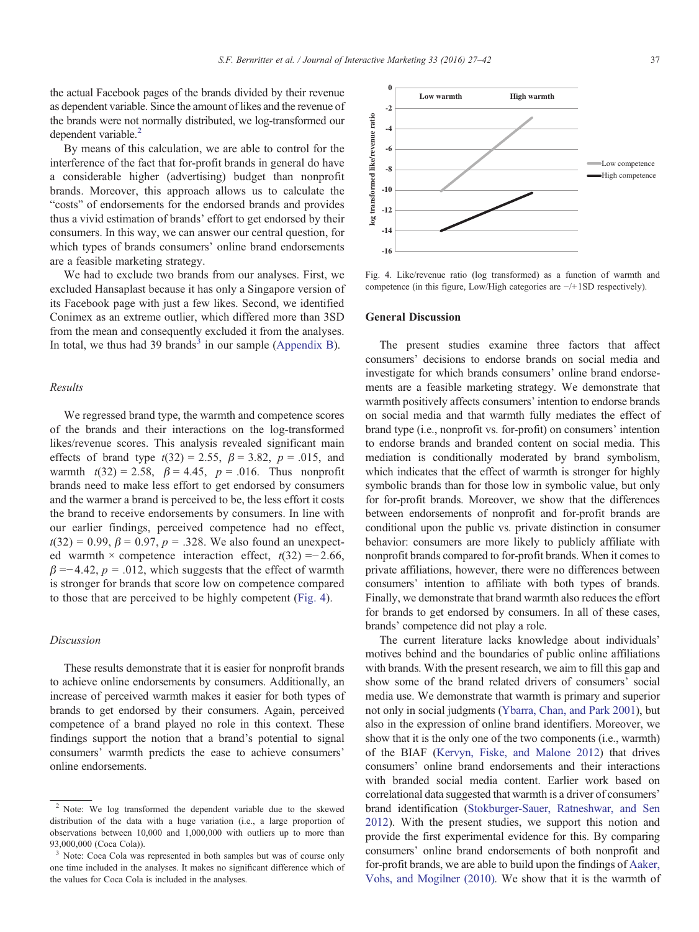S.F. Bernritter et al. / Journal of Interactive Marketing 33 (2016) 27–42 37

**-2 0**

the actual Facebook pages of the brands divided by their revenue as dependent variable. Since the amount of likes and the revenue of the brands were not normally distributed, we log-transformed our dependent variable.<sup>2</sup>

By means of this calculation, we are able to control for the interference of the fact that for-profit brands in general do have a considerable higher (advertising) budget than nonprofit brands. Moreover, this approach allows us to calculate the "costs" of endorsements for the endorsed brands and provides thus a vivid estimation of brands' effort to get endorsed by their consumers. In this way, we can answer our central question, for which types of brands consumers' online brand endorsements are a feasible marketing strategy.

We had to exclude two brands from our analyses. First, we excluded Hansaplast because it has only a Singapore version of its Facebook page with just a few likes. Second, we identified Conimex as an extreme outlier, which differed more than 3SD from the mean and consequently excluded it from the analyses. In total, we thus had 39 brands<sup>3</sup> in our sample ([Appendix B](#page-14-0)).

#### Results

We regressed brand type, the warmth and competence scores of the brands and their interactions on the log-transformed likes/revenue scores. This analysis revealed significant main effects of brand type  $t(32) = 2.55$ ,  $\beta = 3.82$ ,  $p = .015$ , and warmth  $t(32) = 2.58$ ,  $\beta = 4.45$ ,  $p = .016$ . Thus nonprofit brands need to make less effort to get endorsed by consumers and the warmer a brand is perceived to be, the less effort it costs the brand to receive endorsements by consumers. In line with our earlier findings, perceived competence had no effect,  $t(32) = 0.99, \beta = 0.97, p = .328$ . We also found an unexpected warmth × competence interaction effect,  $t(32) = -2.66$ ,  $\beta = -4.42$ ,  $p = .012$ , which suggests that the effect of warmth is stronger for brands that score low on competence compared to those that are perceived to be highly competent (Fig. 4).

### Discussion

These results demonstrate that it is easier for nonprofit brands to achieve online endorsements by consumers. Additionally, an increase of perceived warmth makes it easier for both types of brands to get endorsed by their consumers. Again, perceived competence of a brand played no role in this context. These findings support the notion that a brand's potential to signal consumers' warmth predicts the ease to achieve consumers' online endorsements.



**Low warmth High warmth**

Fig. 4. Like/revenue ratio (log transformed) as a function of warmth and competence (in this figure, Low/High categories are −/+1SD respectively).

#### General Discussion

The present studies examine three factors that affect consumers' decisions to endorse brands on social media and investigate for which brands consumers' online brand endorsements are a feasible marketing strategy. We demonstrate that warmth positively affects consumers' intention to endorse brands on social media and that warmth fully mediates the effect of brand type (i.e., nonprofit vs. for-profit) on consumers' intention to endorse brands and branded content on social media. This mediation is conditionally moderated by brand symbolism, which indicates that the effect of warmth is stronger for highly symbolic brands than for those low in symbolic value, but only for for-profit brands. Moreover, we show that the differences between endorsements of nonprofit and for-profit brands are conditional upon the public vs. private distinction in consumer behavior: consumers are more likely to publicly affiliate with nonprofit brands compared to for-profit brands. When it comes to private affiliations, however, there were no differences between consumers' intention to affiliate with both types of brands. Finally, we demonstrate that brand warmth also reduces the effort for brands to get endorsed by consumers. In all of these cases, brands' competence did not play a role.

The current literature lacks knowledge about individuals' motives behind and the boundaries of public online affiliations with brands. With the present research, we aim to fill this gap and show some of the brand related drivers of consumers' social media use. We demonstrate that warmth is primary and superior not only in social judgments ([Ybarra, Chan, and Park 2001\)](#page-16-0), but also in the expression of online brand identifiers. Moreover, we show that it is the only one of the two components (i.e., warmth) of the BIAF [\(Kervyn, Fiske, and Malone 2012](#page-15-0)) that drives consumers' online brand endorsements and their interactions with branded social media content. Earlier work based on correlational data suggested that warmth is a driver of consumers' brand identification ([Stokburger-Sauer, Ratneshwar, and Sen](#page-16-0) [2012](#page-16-0)). With the present studies, we support this notion and provide the first experimental evidence for this. By comparing consumers' online brand endorsements of both nonprofit and for-profit brands, we are able to build upon the findings of [Aaker,](#page-14-0) [Vohs, and Mogilner \(2010\)](#page-14-0). We show that it is the warmth of

<sup>&</sup>lt;sup>2</sup> Note: We log transformed the dependent variable due to the skewed distribution of the data with a huge variation (i.e., a large proportion of observations between 10,000 and 1,000,000 with outliers up to more than 93,000,000 (Coca Cola)).

Note: Coca Cola was represented in both samples but was of course only one time included in the analyses. It makes no significant difference which of the values for Coca Cola is included in the analyses.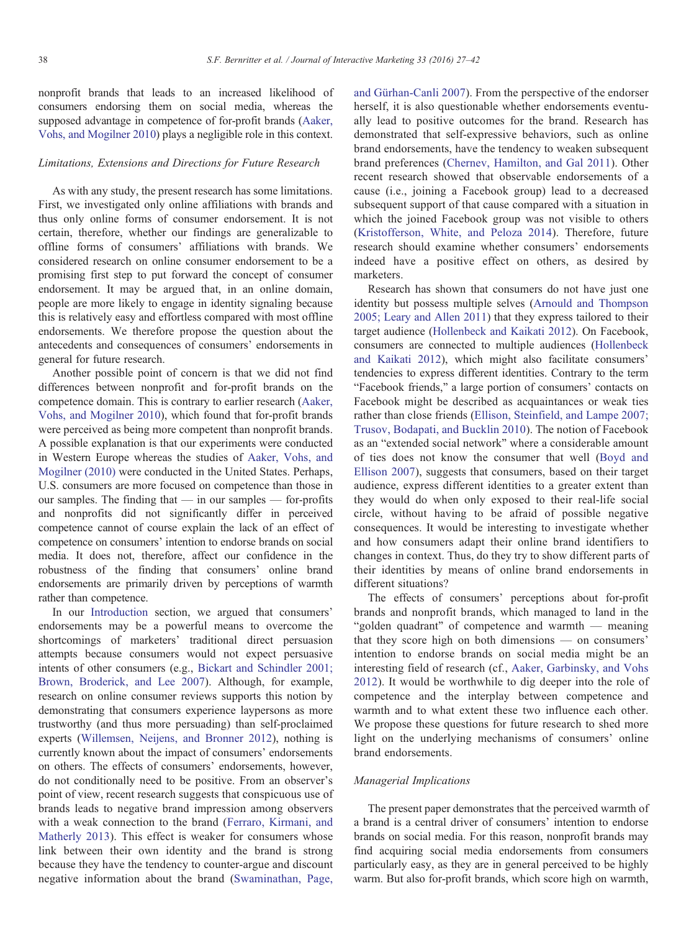nonprofit brands that leads to an increased likelihood of consumers endorsing them on social media, whereas the supposed advantage in competence of for-profit brands ([Aaker,](#page-14-0) [Vohs, and Mogilner 2010\)](#page-14-0) plays a negligible role in this context.

#### Limitations, Extensions and Directions for Future Research

As with any study, the present research has some limitations. First, we investigated only online affiliations with brands and thus only online forms of consumer endorsement. It is not certain, therefore, whether our findings are generalizable to offline forms of consumers' affiliations with brands. We considered research on online consumer endorsement to be a promising first step to put forward the concept of consumer endorsement. It may be argued that, in an online domain, people are more likely to engage in identity signaling because this is relatively easy and effortless compared with most offline endorsements. We therefore propose the question about the antecedents and consequences of consumers' endorsements in general for future research.

Another possible point of concern is that we did not find differences between nonprofit and for-profit brands on the competence domain. This is contrary to earlier research [\(Aaker,](#page-14-0) [Vohs, and Mogilner 2010\)](#page-14-0), which found that for-profit brands were perceived as being more competent than nonprofit brands. A possible explanation is that our experiments were conducted in Western Europe whereas the studies of [Aaker, Vohs, and](#page-14-0) [Mogilner \(2010\)](#page-14-0) were conducted in the United States. Perhaps, U.S. consumers are more focused on competence than those in our samples. The finding that  $-$  in our samples  $-$  for-profits and nonprofits did not significantly differ in perceived competence cannot of course explain the lack of an effect of competence on consumers' intention to endorse brands on social media. It does not, therefore, affect our confidence in the robustness of the finding that consumers' online brand endorsements are primarily driven by perceptions of warmth rather than competence.

In our [Introduction](#page-1-0) section, we argued that consumers' endorsements may be a powerful means to overcome the shortcomings of marketers' traditional direct persuasion attempts because consumers would not expect persuasive intents of other consumers (e.g., [Bickart and Schindler 2001;](#page-14-0) [Brown, Broderick, and Lee 2007\)](#page-14-0). Although, for example, research on online consumer reviews supports this notion by demonstrating that consumers experience laypersons as more trustworthy (and thus more persuading) than self-proclaimed experts ([Willemsen, Neijens, and Bronner 2012\)](#page-16-0), nothing is currently known about the impact of consumers' endorsements on others. The effects of consumers' endorsements, however, do not conditionally need to be positive. From an observer's point of view, recent research suggests that conspicuous use of brands leads to negative brand impression among observers with a weak connection to the brand ([Ferraro, Kirmani, and](#page-15-0) [Matherly 2013\)](#page-15-0). This effect is weaker for consumers whose link between their own identity and the brand is strong because they have the tendency to counter-argue and discount negative information about the brand [\(Swaminathan, Page,](#page-16-0) [and Gürhan-Canli 2007\)](#page-16-0). From the perspective of the endorser herself, it is also questionable whether endorsements eventually lead to positive outcomes for the brand. Research has demonstrated that self-expressive behaviors, such as online brand endorsements, have the tendency to weaken subsequent brand preferences ([Chernev, Hamilton, and Gal 2011\)](#page-14-0). Other recent research showed that observable endorsements of a cause (i.e., joining a Facebook group) lead to a decreased subsequent support of that cause compared with a situation in which the joined Facebook group was not visible to others ([Kristofferson, White, and Peloza 2014\)](#page-15-0). Therefore, future research should examine whether consumers' endorsements indeed have a positive effect on others, as desired by marketers.

Research has shown that consumers do not have just one identity but possess multiple selves ([Arnould and Thompson](#page-15-0) [2005; Leary and Allen 2011](#page-15-0)) that they express tailored to their target audience ([Hollenbeck and Kaikati 2012](#page-15-0)). On Facebook, consumers are connected to multiple audiences [\(Hollenbeck](#page-15-0) [and Kaikati 2012](#page-15-0)), which might also facilitate consumers' tendencies to express different identities. Contrary to the term "Facebook friends," a large portion of consumers' contacts on Facebook might be described as acquaintances or weak ties rather than close friends [\(Ellison, Steinfield, and Lampe 2007;](#page-15-0) [Trusov, Bodapati, and Bucklin 2010](#page-15-0)). The notion of Facebook as an "extended social network" where a considerable amount of ties does not know the consumer that well [\(Boyd and](#page-14-0) [Ellison 2007\)](#page-14-0), suggests that consumers, based on their target audience, express different identities to a greater extent than they would do when only exposed to their real-life social circle, without having to be afraid of possible negative consequences. It would be interesting to investigate whether and how consumers adapt their online brand identifiers to changes in context. Thus, do they try to show different parts of their identities by means of online brand endorsements in different situations?

The effects of consumers' perceptions about for-profit brands and nonprofit brands, which managed to land in the "golden quadrant" of competence and warmth — meaning that they score high on both dimensions — on consumers' intention to endorse brands on social media might be an interesting field of research (cf., [Aaker, Garbinsky, and Vohs](#page-14-0) [2012](#page-14-0)). It would be worthwhile to dig deeper into the role of competence and the interplay between competence and warmth and to what extent these two influence each other. We propose these questions for future research to shed more light on the underlying mechanisms of consumers' online brand endorsements.

# Managerial Implications

The present paper demonstrates that the perceived warmth of a brand is a central driver of consumers' intention to endorse brands on social media. For this reason, nonprofit brands may find acquiring social media endorsements from consumers particularly easy, as they are in general perceived to be highly warm. But also for-profit brands, which score high on warmth,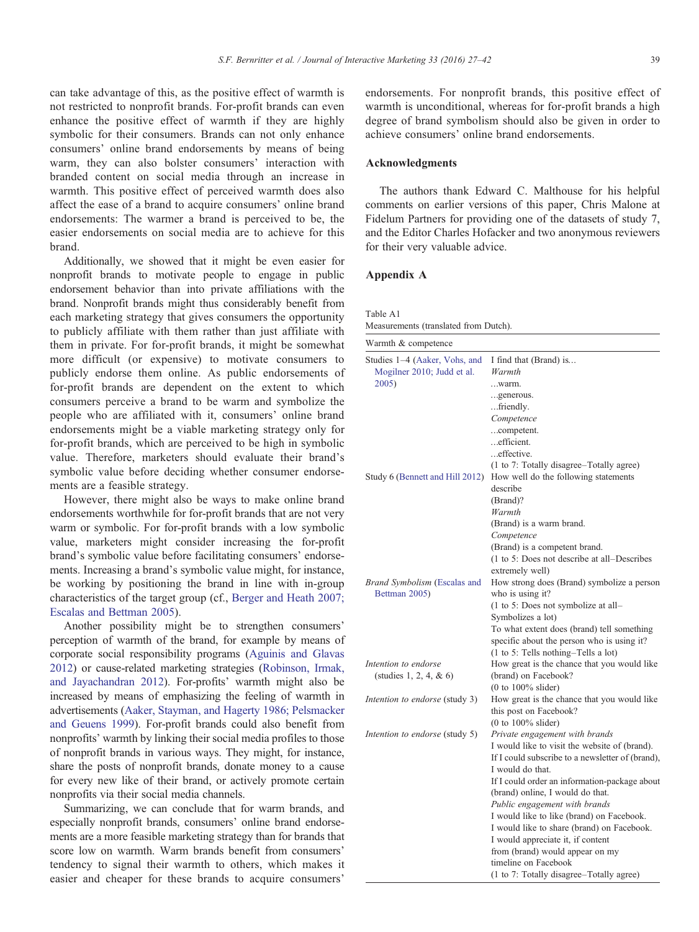<span id="page-13-0"></span>can take advantage of this, as the positive effect of warmth is not restricted to nonprofit brands. For-profit brands can even enhance the positive effect of warmth if they are highly symbolic for their consumers. Brands can not only enhance consumers' online brand endorsements by means of being warm, they can also bolster consumers' interaction with branded content on social media through an increase in warmth. This positive effect of perceived warmth does also affect the ease of a brand to acquire consumers' online brand endorsements: The warmer a brand is perceived to be, the easier endorsements on social media are to achieve for this brand.

Additionally, we showed that it might be even easier for nonprofit brands to motivate people to engage in public endorsement behavior than into private affiliations with the brand. Nonprofit brands might thus considerably benefit from each marketing strategy that gives consumers the opportunity to publicly affiliate with them rather than just affiliate with them in private. For for-profit brands, it might be somewhat more difficult (or expensive) to motivate consumers to publicly endorse them online. As public endorsements of for-profit brands are dependent on the extent to which consumers perceive a brand to be warm and symbolize the people who are affiliated with it, consumers' online brand endorsements might be a viable marketing strategy only for for-profit brands, which are perceived to be high in symbolic value. Therefore, marketers should evaluate their brand's symbolic value before deciding whether consumer endorsements are a feasible strategy.

However, there might also be ways to make online brand endorsements worthwhile for for-profit brands that are not very warm or symbolic. For for-profit brands with a low symbolic value, marketers might consider increasing the for-profit brand's symbolic value before facilitating consumers' endorsements. Increasing a brand's symbolic value might, for instance, be working by positioning the brand in line with in-group characteristics of the target group (cf., [Berger and Heath 2007;](#page-14-0) [Escalas and Bettman 2005\)](#page-14-0).

Another possibility might be to strengthen consumers' perception of warmth of the brand, for example by means of corporate social responsibility programs [\(Aguinis and Glavas](#page-14-0) [2012](#page-14-0)) or cause-related marketing strategies ([Robinson, Irmak,](#page-15-0) [and Jayachandran 2012\)](#page-15-0). For-profits' warmth might also be increased by means of emphasizing the feeling of warmth in advertisements [\(Aaker, Stayman, and Hagerty 1986; Pelsmacker](#page-14-0) [and Geuens 1999](#page-14-0)). For-profit brands could also benefit from nonprofits' warmth by linking their social media profiles to those of nonprofit brands in various ways. They might, for instance, share the posts of nonprofit brands, donate money to a cause for every new like of their brand, or actively promote certain nonprofits via their social media channels.

Summarizing, we can conclude that for warm brands, and especially nonprofit brands, consumers' online brand endorsements are a more feasible marketing strategy than for brands that score low on warmth. Warm brands benefit from consumers' tendency to signal their warmth to others, which makes it easier and cheaper for these brands to acquire consumers'

endorsements. For nonprofit brands, this positive effect of warmth is unconditional, whereas for for-profit brands a high degree of brand symbolism should also be given in order to achieve consumers' online brand endorsements.

#### Acknowledgments

The authors thank Edward C. Malthouse for his helpful comments on earlier versions of this paper, Chris Malone at Fidelum Partners for providing one of the datasets of study 7, and the Editor Charles Hofacker and two anonymous reviewers for their very valuable advice.

# Appendix A

Table A1 Measurements (translated from Dutch).

| Warmth & competence                                         |                                                  |  |  |
|-------------------------------------------------------------|--------------------------------------------------|--|--|
| Studies 1-4 (Aaker, Vohs, and<br>Mogilner 2010; Judd et al. | I find that (Brand) is<br>Warmth                 |  |  |
| 2005)                                                       | warm.                                            |  |  |
|                                                             | generous.                                        |  |  |
|                                                             | friendly.                                        |  |  |
|                                                             | Competence                                       |  |  |
|                                                             | competent.                                       |  |  |
|                                                             | efficient.                                       |  |  |
|                                                             | effective.                                       |  |  |
|                                                             | (1 to 7: Totally disagree-Totally agree)         |  |  |
| Study 6 (Bennett and Hill 2012)                             | How well do the following statements             |  |  |
|                                                             | describe                                         |  |  |
|                                                             | (Brand)?                                         |  |  |
|                                                             | Warmth                                           |  |  |
|                                                             | (Brand) is a warm brand.                         |  |  |
|                                                             | Competence                                       |  |  |
|                                                             | (Brand) is a competent brand.                    |  |  |
|                                                             | (1 to 5: Does not describe at all-Describes      |  |  |
|                                                             | extremely well)                                  |  |  |
| <i>Brand Symbolism</i> (Escalas and                         | How strong does (Brand) symbolize a person       |  |  |
| Bettman 2005)                                               | who is using it?                                 |  |  |
|                                                             | (1 to 5: Does not symbolize at all-              |  |  |
|                                                             | Symbolizes a lot)                                |  |  |
|                                                             | To what extent does (brand) tell something       |  |  |
|                                                             | specific about the person who is using it?       |  |  |
|                                                             | (1 to 5: Tells nothing-Tells a lot)              |  |  |
| Intention to endorse                                        | How great is the chance that you would like      |  |  |
| (studies $1, 2, 4, \& 6$ )                                  | (brand) on Facebook?                             |  |  |
|                                                             | $(0 to 100\%$ slider)                            |  |  |
| <i>Intention to endorse</i> (study 3)                       | How great is the chance that you would like      |  |  |
|                                                             | this post on Facebook?                           |  |  |
|                                                             | $(0 to 100\%$ slider)                            |  |  |
| <i>Intention to endorse</i> (study 5)                       | Private engagement with brands                   |  |  |
|                                                             | I would like to visit the website of (brand).    |  |  |
|                                                             | If I could subscribe to a newsletter of (brand), |  |  |
|                                                             | I would do that.                                 |  |  |
|                                                             | If I could order an information-package about    |  |  |
|                                                             | (brand) online, I would do that.                 |  |  |
|                                                             | Public engagement with brands                    |  |  |
|                                                             | I would like to like (brand) on Facebook.        |  |  |
|                                                             | I would like to share (brand) on Facebook.       |  |  |
|                                                             | I would appreciate it, if content                |  |  |
|                                                             | from (brand) would appear on my                  |  |  |
|                                                             | timeline on Facebook                             |  |  |
|                                                             | (1 to 7: Totally disagree–Totally agree)         |  |  |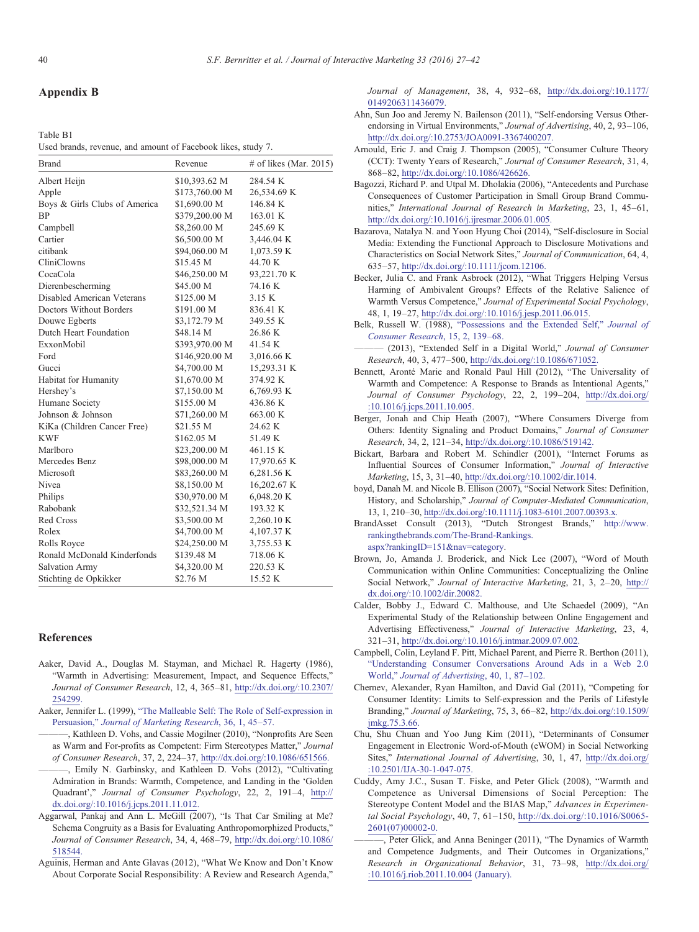#### <span id="page-14-0"></span>Appendix B

Table B1

Used brands, revenue, and amount of Facebook likes, study 7.

| <b>Brand</b>                  | Revenue        | # of likes (Mar. 2015) |
|-------------------------------|----------------|------------------------|
| Albert Heijn                  | \$10,393.62 M  | 284.54 K               |
| Apple                         | \$173,760.00 M | 26,534.69 K            |
| Boys & Girls Clubs of America | \$1,690.00 M   | 146.84 K               |
| <b>BP</b>                     | \$379,200.00 M | 163.01 K               |
| Campbell                      | \$8,260.00 M   | 245.69 K               |
| Cartier                       | \$6,500.00 M   | 3,446.04 K             |
| citibank                      | \$94,060.00 M  | 1,073.59 K             |
| <b>CliniClowns</b>            | \$15.45 M      | 44.70 K                |
| CocaCola                      | \$46,250.00 M  | 93,221.70 K            |
| Dierenbescherming             | \$45.00 M      | 74.16 K                |
| Disabled American Veterans    | \$125.00 M     | 3.15 K                 |
| Doctors Without Borders       | \$191.00 M     | 836.41 K               |
| Douwe Egberts                 | \$3,172.79 M   | 349.55 K               |
| Dutch Heart Foundation        | \$48.14 M      | 26.86 K                |
| ExxonMobil                    | \$393,970.00 M | 41.54 K                |
| Ford                          | \$146,920.00 M | 3,016.66 K             |
| Gucci                         | \$4,700.00 M   | 15,293.31 K            |
| Habitat for Humanity          | \$1,670.00 M   | 374.92 K               |
| Hershey's                     | \$7,150.00 M   | 6,769.93 K             |
| Humane Society                | \$155.00 M     | 436.86 K               |
| Johnson & Johnson             | \$71,260.00 M  | 663.00 K               |
| KiKa (Children Cancer Free)   | \$21.55 M      | 24.62 K                |
| <b>KWF</b>                    | \$162.05 M     | 51.49 K                |
| Marlboro                      | \$23,200.00 M  | 461.15 K               |
| Mercedes Benz                 | \$98,000.00 M  | 17,970.65 K            |
| Microsoft                     | \$83,260.00 M  | 6,281.56 K             |
| Nivea                         | \$8,150.00 M   | 16,202.67 K            |
| Philips                       | \$30,970.00 M  | 6,048.20 K             |
| Rabobank                      | \$32,521.34 M  | 193.32 K               |
| Red Cross                     | \$3,500.00 M   | 2,260.10 K             |
| Rolex                         | \$4,700.00 M   | 4,107.37 K             |
| Rolls Royce                   | \$24,250.00 M  | 3,755.53 K             |
| Ronald McDonald Kinderfonds   | \$139.48 M     | 718.06 K               |
| <b>Salvation Army</b>         | \$4,320.00 M   | 220.53 K               |
| Stichting de Opkikker         | \$2.76 M       | 15.52 K                |

#### References

- Aaker, David A., Douglas M. Stayman, and Michael R. Hagerty (1986), "Warmth in Advertising: Measurement, Impact, and Sequence Effects," Journal of Consumer Research, 12, 4, 365–81, http://dx.doi.org/:[10.2307/](http://dx.doi.org/10.2307/254299) [254299](http://dx.doi.org/10.2307/254299).
- Aaker, Jennifer L. (1999), "[The Malleable Self: The Role of Self-expression in](http://refhub.elsevier.com/S1094-9968(15)00050-X/rf0010) Persuasion," [Journal of Marketing Research](http://refhub.elsevier.com/S1094-9968(15)00050-X/rf0010), 36, 1, 45–57.
	- -, Kathleen D. Vohs, and Cassie Mogilner (2010), "Nonprofits Are Seen as Warm and For‐profits as Competent: Firm Stereotypes Matter," Journal of Consumer Research, 37, 2, 224–37, http://dx.doi.org/:[10.1086/651566.](http://dx.doi.org/10.1086/651566)
	- ———, Emily N. Garbinsky, and Kathleen D. Vohs (2012), "Cultivating Admiration in Brands: Warmth, Competence, and Landing in the 'Golden Quadrant'," Journal of Consumer Psychology, 22, 2, 191–4, http:// dx.doi.org/:[10.1016/j.jcps.2011.11.012](http://dx.doi.org/10.1016/j.jcps.2011.11.012).
- Aggarwal, Pankaj and Ann L. McGill (2007), "Is That Car Smiling at Me? Schema Congruity as a Basis for Evaluating Anthropomorphized Products," Journal of Consumer Research, 34, 4, 468–79, http://dx.doi.org/:[10.1086/](http://dx.doi.org/10.1086/518544) [518544](http://dx.doi.org/10.1086/518544).
- Aguinis, Herman and Ante Glavas (2012), "What We Know and Don't Know About Corporate Social Responsibility: A Review and Research Agenda,"

Journal of Management, 38, 4, 932–68, http://dx.doi.org/[:10.1177/](http://dx.doi.org/10.1177/0149206311436079) [0149206311436079.](http://dx.doi.org/10.1177/0149206311436079)

- Ahn, Sun Joo and Jeremy N. Bailenson (2011), "Self-endorsing Versus Otherendorsing in Virtual Environments," Journal of Advertising, 40, 2, 93–106, http://dx.doi.org/[:10.2753/JOA0091-3367400207.](http://dx.doi.org/10.2753/JOA0091-3367400207)
- Arnould, Eric J. and Craig J. Thompson (2005), "Consumer Culture Theory (CCT): Twenty Years of Research," Journal of Consumer Research, 31, 4, 868–82, http://dx.doi.org/[:10.1086/426626](http://dx.doi.org/10.1086/426626).
- Bagozzi, Richard P. and Utpal M. Dholakia (2006), "Antecedents and Purchase Consequences of Customer Participation in Small Group Brand Communities," International Journal of Research in Marketing, 23, 1, 45–61, http://dx.doi.org/[:10.1016/j.ijresmar.2006.01.005.](http://dx.doi.org/10.1016/j.ijresmar.2006.01.005)
- Bazarova, Natalya N. and Yoon Hyung Choi (2014), "Self-disclosure in Social Media: Extending the Functional Approach to Disclosure Motivations and Characteristics on Social Network Sites," Journal of Communication, 64, 4, 635–57, http://dx.doi.org/[:10.1111/jcom.12106.](http://dx.doi.org/10.1111/jcom.12106)
- Becker, Julia C. and Frank Asbrock (2012), "What Triggers Helping Versus Harming of Ambivalent Groups? Effects of the Relative Salience of Warmth Versus Competence," Journal of Experimental Social Psychology, 48, 1, 19–27, http://dx.doi.org/:[10.1016/j.jesp.2011.06.015](http://dx.doi.org/10.1016/j.jesp.2011.06.015).
- Belk, Russell W. (1988), "[Possessions and the Extended Self,](http://refhub.elsevier.com/S1094-9968(15)00050-X/rf0060)" Journal of [Consumer Research](http://refhub.elsevier.com/S1094-9968(15)00050-X/rf0060), 15, 2, 139–68.
- (2013), "Extended Self in a Digital World," Journal of Consumer Research, 40, 3, 477–500, http://dx.doi.org/[:10.1086/671052](http://dx.doi.org/10.1086/671052).
- Bennett, Aronté Marie and Ronald Paul Hill (2012), "The Universality of Warmth and Competence: A Response to Brands as Intentional Agents," Journal of Consumer Psychology, 22, 2, 199–204, http://dx.doi.org/ :[10.1016/j.jcps.2011.10.005](http://dx.doi.org/10.1016/j.jcps.2011.10.005).
- Berger, Jonah and Chip Heath (2007), "Where Consumers Diverge from Others: Identity Signaling and Product Domains," Journal of Consumer Research, 34, 2, 121–34, http://dx.doi.org/:[10.1086/519142](http://dx.doi.org/10.1086/519142).
- Bickart, Barbara and Robert M. Schindler (2001), "Internet Forums as Influential Sources of Consumer Information," Journal of Interactive Marketing, 15, 3, 31–40, http://dx.doi.org/[:10.1002/dir.1014.](http://dx.doi.org/10.1002/dir.1014)
- boyd, Danah M. and Nicole B. Ellison (2007), "Social Network Sites: Definition, History, and Scholarship," Journal of Computer-Mediated Communication, 13, 1, 210–30, http://dx.doi.org/[:10.1111/j.1083-6101.2007.00393.x.](http://dx.doi.org/10.1111/j.1083-6101.2007.00393.x)
- BrandAsset Consult (2013), "Dutch Strongest Brands," [http://www.](http://www.rankingthebrands.com/The-Brand-Rankings.aspx?rankingID=151&nav=category) [rankingthebrands.com/The-Brand-Rankings.](http://www.rankingthebrands.com/The-Brand-Rankings.aspx?rankingID=151&nav=category) [aspx?rankingID=151&nav=category](http://www.rankingthebrands.com/The-Brand-Rankings.aspx?rankingID=151&nav=category).
- Brown, Jo, Amanda J. Broderick, and Nick Lee (2007), "Word of Mouth Communication within Online Communities: Conceptualizing the Online Social Network," Journal of Interactive Marketing, 21, 3, 2–20, http:// dx.doi.org/[:10.1002/dir.20082](http://dx.doi.org/10.1002/dir.20082).
- Calder, Bobby J., Edward C. Malthouse, and Ute Schaedel (2009), "An Experimental Study of the Relationship between Online Engagement and Advertising Effectiveness," Journal of Interactive Marketing, 23, 4, 321–31, http://dx.doi.org/[:10.1016/j.intmar.2009.07.002](http://dx.doi.org/10.1016/j.intmar.2009.07.002).
- Campbell, Colin, Leyland F. Pitt, Michael Parent, and Pierre R. Berthon (2011), "[Understanding Consumer Conversations Around Ads in a Web 2.0](http://refhub.elsevier.com/S1094-9968(15)00050-X/rf0100) World," [Journal of Advertising](http://refhub.elsevier.com/S1094-9968(15)00050-X/rf0100), 40, 1, 87–102.
- Chernev, Alexander, Ryan Hamilton, and David Gal (2011), "Competing for Consumer Identity: Limits to Self-expression and the Perils of Lifestyle Branding," Journal of Marketing, 75, 3, 66–82, http://dx.doi.org/:[10.1509/](http://dx.doi.org/10.1509/jmkg.75.3.66) [jmkg.75.3.66.](http://dx.doi.org/10.1509/jmkg.75.3.66)
- Chu, Shu Chuan and Yoo Jung Kim (2011), "Determinants of Consumer Engagement in Electronic Word-of-Mouth (eWOM) in Social Networking Sites," International Journal of Advertising, 30, 1, 47, http://dx.doi.org/ :[10.2501/IJA-30-1-047-075](http://dx.doi.org/10.2501/IJA-30-1-047-075).
- Cuddy, Amy J.C., Susan T. Fiske, and Peter Glick (2008), "Warmth and Competence as Universal Dimensions of Social Perception: The Stereotype Content Model and the BIAS Map," Advances in Experimental Social Psychology, 40, 7, 61–150, http://dx.doi.org/:[10.1016/S0065-](http://dx.doi.org/10.1016/S0065-2601(07)00002-0) [2601\(07\)00002-0](http://dx.doi.org/10.1016/S0065-2601(07)00002-0).
- Peter Glick, and Anna Beninger (2011), "The Dynamics of Warmth and Competence Judgments, and Their Outcomes in Organizations," Research in Organizational Behavior, 31, 73–98, http://dx.doi.org/ :[10.1016/j.riob.2011.10.004](http://dx.doi.org/10.1016/j.riob.2011.10.004) (January).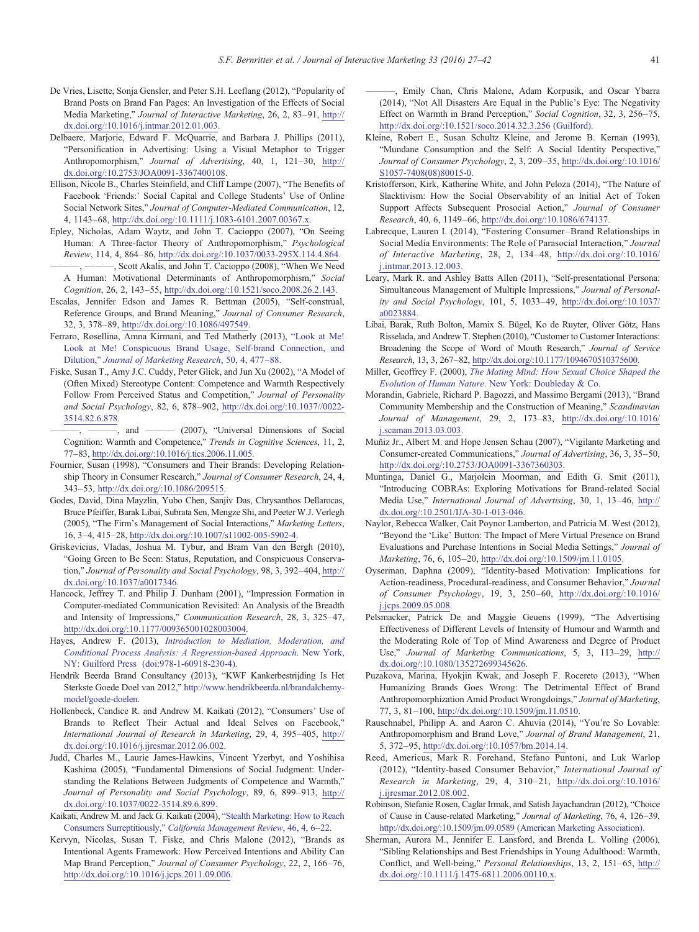- <span id="page-15-0"></span>De Vries, Lisette, Sonja Gensler, and Peter S.H. Leeflang (2012), "Popularity of Brand Posts on Brand Fan Pages: An Investigation of the Effects of Social Media Marketing," Journal of Interactive Marketing, 26, 2, 83–91, http:// dx.doi.org/[:10.1016/j.intmar.2012.01.003.](http://dx.doi.org/10.1016/j.intmar.2012.01.003)
- Delbaere, Marjorie, Edward F. McQuarrie, and Barbara J. Phillips (2011), "Personification in Advertising: Using a Visual Metaphor to Trigger Anthropomorphism," Journal of Advertising, 40, 1, 121–30, http:// dx.doi.org/[:10.2753/JOA0091-3367400108](http://dx.doi.org/10.2753/JOA0091-3367400108).
- Ellison, Nicole B., Charles Steinfield, and Cliff Lampe (2007), "The Benefits of Facebook 'Friends:' Social Capital and College Students' Use of Online Social Network Sites," Journal of Computer-Mediated Communication, 12, 4, 1143–68, http://dx.doi.org/[:10.1111/j.1083-6101.2007.00367.x.](http://dx.doi.org/10.1111/j.1083-6101.2007.00367.x)
- Epley, Nicholas, Adam Waytz, and John T. Cacioppo (2007), "On Seeing Human: A Three-factor Theory of Anthropomorphism," Psychological Review, 114, 4, 864–86, http://dx.doi.org/:[10.1037/0033-295X.114.4.864.](http://dx.doi.org/10.1037/0033-295X.114.4.864)
- $-$ , Scott Akalis, and John T. Cacioppo (2008), "When We Need A Human: Motivational Determinants of Anthropomorphism," Social Cognition, 26, 2, 143–55, http://dx.doi.org/:[10.1521/soco.2008.26.2.143.](http://dx.doi.org/10.1521/soco.2008.26.2.143)
- Escalas, Jennifer Edson and James R. Bettman (2005), "Self-construal, Reference Groups, and Brand Meaning," Journal of Consumer Research, 32, 3, 378–89, http://dx.doi.org/:[10.1086/497549](http://dx.doi.org/10.1086/497549).
- Ferraro, Rosellina, Amna Kirmani, and Ted Matherly (2013), "[Look at Me!](http://refhub.elsevier.com/S1094-9968(15)00050-X/rf0155) [Look at Me! Conspicuous Brand Usage, Self-brand Connection, and](http://refhub.elsevier.com/S1094-9968(15)00050-X/rf0155) Dilution," [Journal of Marketing Research](http://refhub.elsevier.com/S1094-9968(15)00050-X/rf0155), 50, 4, 477–88.
- Fiske, Susan T., Amy J.C. Cuddy, Peter Glick, and Jun Xu (2002), "A Model of (Often Mixed) Stereotype Content: Competence and Warmth Respectively Follow From Perceived Status and Competition," Journal of Personality and Social Psychology, 82, 6, 878–902, http://dx.doi.org/:[10.1037//0022-](http://dx.doi.org/10.1037//0022-3514.82.6.878) [3514.82.6.878](http://dx.doi.org/10.1037//0022-3514.82.6.878).
- $\overline{p_1, \overline{p_2, \ldots, p_n}}$  and  $\overline{p_2, \ldots, p_n}$  (2007), "Universal Dimensions of Social Cognition: Warmth and Competence," Trends in Cognitive Sciences, 11, 2, 77–83, http://dx.doi.org/:[10.1016/j.tics.2006.11.005.](http://dx.doi.org/10.1016/j.tics.2006.11.005)
- Fournier, Susan (1998), "Consumers and Their Brands: Developing Relationship Theory in Consumer Research," Journal of Consumer Research, 24, 4, 343–53, http://dx.doi.org/[:10.1086/209515.](http://dx.doi.org/10.1086/209515)
- Godes, David, Dina Mayzlin, Yubo Chen, Sanjiv Das, Chrysanthos Dellarocas, Bruce Pfeiffer, Barak Libai, Subrata Sen, Mengze Shi, and Peeter W.J. Verlegh (2005), "The Firm's Management of Social Interactions," Marketing Letters, 16, 3–4, 415–28, http://dx.doi.org/[:10.1007/s11002-005-5902-4](http://dx.doi.org/10.1007/s11002-005-5902-4).
- Griskevicius, Vladas, Joshua M. Tybur, and Bram Van den Bergh (2010), "Going Green to Be Seen: Status, Reputation, and Conspicuous Conservation," Journal of Personality and Social Psychology, 98, 3, 392–404, http:// dx.doi.org/[:10.1037/a0017346.](http://dx.doi.org/10.1037/a0017346)
- Hancock, Jeffrey T. and Philip J. Dunham (2001), "Impression Formation in Computer-mediated Communication Revisited: An Analysis of the Breadth and Intensity of Impressions," Communication Research, 28, 3, 325–47, http://dx.doi.org/[:10.1177/009365001028003004.](http://dx.doi.org/10.1177/009365001028003004)
- Hayes, Andrew F. (2013), [Introduction to Mediation, Moderation, and](http://refhub.elsevier.com/S1094-9968(15)00050-X/rf0415) [Conditional Process Analysis: A Regression-based Approach](http://refhub.elsevier.com/S1094-9968(15)00050-X/rf0415). New York, [NY: Guilford Press \(doi:978-1-60918-230-4\).](http://refhub.elsevier.com/S1094-9968(15)00050-X/rf0415)
- Hendrik Beerda Brand Consultancy (2013), "KWF Kankerbestrijding Is Het Sterkste Goede Doel van 2012," [http://www.hendrikbeerda.nl/brandalchemy](http://www.hendrikbeerda.nl/brandalchemy-model/goede-doelen)[model/goede-doelen](http://www.hendrikbeerda.nl/brandalchemy-model/goede-doelen).
- Hollenbeck, Candice R. and Andrew M. Kaikati (2012), "Consumers' Use of Brands to Reflect Their Actual and Ideal Selves on Facebook," International Journal of Research in Marketing, 29, 4, 395–405, http:// dx.doi.org/[:10.1016/j.ijresmar.2012.06.002.](http://dx.doi.org/10.1016/j.ijresmar.2012.06.002)
- Judd, Charles M., Laurie James-Hawkins, Vincent Yzerbyt, and Yoshihisa Kashima (2005), "Fundamental Dimensions of Social Judgment: Understanding the Relations Between Judgments of Competence and Warmth," Journal of Personality and Social Psychology, 89, 6, 899–913, http:// dx.doi.org/[:10.1037/0022-3514.89.6.899](http://dx.doi.org/10.1037/0022-3514.89.6.899).
- Kaikati, Andrew M. and Jack G. Kaikati (2004), "[Stealth Marketing: How to Reach](http://refhub.elsevier.com/S1094-9968(15)00050-X/rf0200) Consumers Surreptitiously," [California Management Review](http://refhub.elsevier.com/S1094-9968(15)00050-X/rf0200), 46, 4, 6–22.
- Kervyn, Nicolas, Susan T. Fiske, and Chris Malone (2012), "Brands as Intentional Agents Framework: How Perceived Intentions and Ability Can Map Brand Perception," Journal of Consumer Psychology, 22, 2, 166–76, http://dx.doi.org/[:10.1016/j.jcps.2011.09.006.](http://dx.doi.org/10.1016/j.jcps.2011.09.006)
- ———, Emily Chan, Chris Malone, Adam Korpusik, and Oscar Ybarra (2014), "Not All Disasters Are Equal in the Public's Eye: The Negativity Effect on Warmth in Brand Perception," Social Cognition, 32, 3, 256–75, http://dx.doi.org/[:10.1521/soco.2014.32.3.256](http://dx.doi.org/10.1521/soco.2014.32.3.256) (Guilford).
- Kleine, Robert E., Susan Schultz Kleine, and Jerome B. Kernan (1993), "Mundane Consumption and the Self: A Social Identity Perspective," Journal of Consumer Psychology, 2, 3, 209–35, http://dx.doi.org/:[10.1016/](http://dx.doi.org/10.1016/S1057-7408(08)80015-0) [S1057-7408\(08\)80015-0.](http://dx.doi.org/10.1016/S1057-7408(08)80015-0)
- Kristofferson, Kirk, Katherine White, and John Peloza (2014), "The Nature of Slacktivism: How the Social Observability of an Initial Act of Token Support Affects Subsequent Prosocial Action," Journal of Consumer Research, 40, 6, 1149–66, http://dx.doi.org/[:10.1086/674137](http://dx.doi.org/10.1086/674137).
- Labrecque, Lauren I. (2014), "Fostering Consumer–Brand Relationships in Social Media Environments: The Role of Parasocial Interaction," Journal of Interactive Marketing, 28, 2, 134–48, http://dx.doi.org/:[10.1016/](http://dx.doi.org/10.1016/j.intmar.2013.12.003) [j.intmar.2013.12.003.](http://dx.doi.org/10.1016/j.intmar.2013.12.003)
- Leary, Mark R. and Ashley Batts Allen (2011), "Self-presentational Persona: Simultaneous Management of Multiple Impressions," Journal of Personality and Social Psychology, 101, 5, 1033–49, http://dx.doi.org/:[10.1037/](http://dx.doi.org/10.1037/a0023884) [a0023884.](http://dx.doi.org/10.1037/a0023884)
- Libai, Barak, Ruth Bolton, Marnix S. Bügel, Ko de Ruyter, Oliver Götz, Hans Risselada, and Andrew T. Stephen (2010), "Customer to Customer Interactions: Broadening the Scope of Word of Mouth Research," Journal of Service Research, 13, 3, 267–82, http://dx.doi.org/[:10.1177/1094670510375600](http://dx.doi.org/10.1177/1094670510375600).
- Miller, Geoffrey F. (2000), [The Mating Mind: How Sexual Choice Shaped the](http://refhub.elsevier.com/S1094-9968(15)00050-X/rf0240) Evolution of Human Nature[. New York: Doubleday & Co.](http://refhub.elsevier.com/S1094-9968(15)00050-X/rf0240)
- Morandin, Gabriele, Richard P. Bagozzi, and Massimo Bergami (2013), "Brand Community Membership and the Construction of Meaning," Scandinavian Journal of Management, 29, 2, 173–83, http://dx.doi.org/:[10.1016/](http://dx.doi.org/10.1016/j.scaman.2013.03.003) [j.scaman.2013.03.003](http://dx.doi.org/10.1016/j.scaman.2013.03.003).
- Muñiz Jr., Albert M. and Hope Jensen Schau (2007), "Vigilante Marketing and Consumer-created Communications," Journal of Advertising, 36, 3, 35–50, http://dx.doi.org/[:10.2753/JOA0091-3367360303.](http://dx.doi.org/10.2753/JOA0091-3367360303)
- Muntinga, Daniel G., Marjolein Moorman, and Edith G. Smit (2011), "Introducing COBRAs: Exploring Motivations for Brand-related Social Media Use," International Journal of Advertising, 30, 1, 13–46, http:// dx.doi.org/[:10.2501/IJA-30-1-013-046.](http://dx.doi.org/10.2501/IJA-30-1-013-046)
- Naylor, Rebecca Walker, Cait Poynor Lamberton, and Patricia M. West (2012), "Beyond the 'Like' Button: The Impact of Mere Virtual Presence on Brand Evaluations and Purchase Intentions in Social Media Settings," Journal of Marketing, 76, 6, 105–20, http://dx.doi.org/:[10.1509/jm.11.0105.](http://dx.doi.org/10.1509/jm.11.0105)
- Oyserman, Daphna (2009), "Identity-based Motivation: Implications for Action-readiness, Procedural-readiness, and Consumer Behavior," Journal of Consumer Psychology, 19, 3, 250–60, http://dx.doi.org/:[10.1016/](http://dx.doi.org/10.1016/j.jcps.2009.05.008) [j.jcps.2009.05.008.](http://dx.doi.org/10.1016/j.jcps.2009.05.008)
- Pelsmacker, Patrick De and Maggie Geuens (1999), "The Advertising Effectiveness of Different Levels of Intensity of Humour and Warmth and the Moderating Role of Top of Mind Awareness and Degree of Product Use," Journal of Marketing Communications, 5, 3, 113–29, http:// dx.doi.org/[:10.1080/135272699345626.](http://dx.doi.org/10.1080/135272699345626)
- Puzakova, Marina, Hyokjin Kwak, and Joseph F. Rocereto (2013), "When Humanizing Brands Goes Wrong: The Detrimental Effect of Brand Anthropomorphization Amid Product Wrongdoings," Journal of Marketing, 77, 3, 81–100, http://dx.doi.org/:[10.1509/jm.11.0510.](http://dx.doi.org/10.1509/jm.11.0510)
- Rauschnabel, Philipp A. and Aaron C. Ahuvia (2014), "You're So Lovable: Anthropomorphism and Brand Love," Journal of Brand Management, 21, 5, 372–95, http://dx.doi.org/[:10.1057/bm.2014.14](http://dx.doi.org/10.1057/bm.2014.14).
- Reed, Americus, Mark R. Forehand, Stefano Puntoni, and Luk Warlop (2012), "Identity-based Consumer Behavior," International Journal of Research in Marketing, 29, 4, 310–21, http://dx.doi.org/:[10.1016/](http://dx.doi.org/10.1016/j.ijresmar.2012.08.002) [j.ijresmar.2012.08.002](http://dx.doi.org/10.1016/j.ijresmar.2012.08.002).
- Robinson, Stefanie Rosen, Caglar Irmak, and Satish Jayachandran (2012), "Choice of Cause in Cause-related Marketing," Journal of Marketing, 76, 4, 126–39, http://dx.doi.org/:[10.1509/jm.09.0589](http://dx.doi.org/10.1509/jm.09.0589) (American Marketing Association).
- Sherman, Aurora M., Jennifer E. Lansford, and Brenda L. Volling (2006), "Sibling Relationships and Best Friendships in Young Adulthood: Warmth, Conflict, and Well-being," Personal Relationships, 13, 2, 151–65, http:// dx.doi.org/[:10.1111/j.1475-6811.2006.00110.x](http://dx.doi.org/10.1111/j.1475-6811.2006.00110.x).